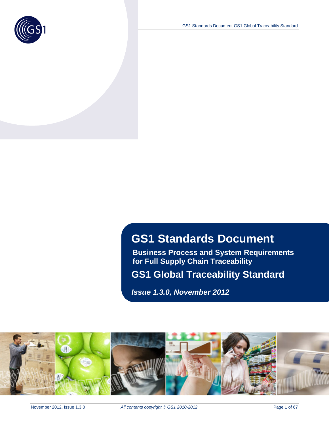

GS1 Standards Document GS1 Global Traceability Standard

# **GS1 Standards Document**

**Business Process and System Requirements for Full Supply Chain Traceability**

**GS1 Global Traceability Standard**

*Issue 1.3.0, November 2012*

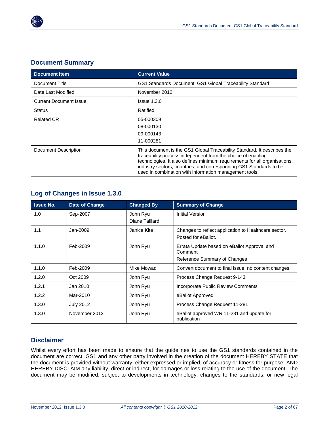

### **Document Summary**

| <b>Document Item</b>                                                      | <b>Current Value</b>                                                                                                                                                                                                                                                                                                                                 |
|---------------------------------------------------------------------------|------------------------------------------------------------------------------------------------------------------------------------------------------------------------------------------------------------------------------------------------------------------------------------------------------------------------------------------------------|
| Document Title<br>GS1 Standards Document GS1 Global Traceability Standard |                                                                                                                                                                                                                                                                                                                                                      |
| Date Last Modified                                                        | November 2012                                                                                                                                                                                                                                                                                                                                        |
| <b>Current Document Issue</b>                                             | $Is sue$ $1.3.0$                                                                                                                                                                                                                                                                                                                                     |
| <b>Status</b>                                                             | Ratified                                                                                                                                                                                                                                                                                                                                             |
| <b>Related CR</b>                                                         | 05-000309<br>08-000130<br>09-000143<br>11-000281                                                                                                                                                                                                                                                                                                     |
| Document Description                                                      | This document is the GS1 Global Traceability Standard. It describes the<br>traceability process independent from the choice of enabling<br>technologies. It also defines minimum requirements for all organisations,<br>industry sectors, countries, and corresponding GS1 Standards to be<br>used in combination with information management tools. |

### **Log of Changes in Issue 1.3.0**

| <b>Issue No.</b> | <b>Date of Change</b> | <b>Changed By</b>          | <b>Summary of Change</b>                                                               |
|------------------|-----------------------|----------------------------|----------------------------------------------------------------------------------------|
| 1.0              | Sep-2007              | John Ryu<br>Diane Taillard | Initial Version                                                                        |
| 1.1              | Jan-2009              | Janice Kite                | Changes to reflect application to Healthcare sector.<br>Posted for eBallot.            |
| 1.1.0            | Feb-2009              | John Ryu                   | Errata Update based on eBallot Approval and<br>Comment<br>Reference Summary of Changes |
| 1.1.0            | Feb-2009              | Mike Mowad                 | Convert document to final issue, no content changes.                                   |
| 1.2.0            | Oct 2009              | John Ryu                   | Process Change Request 9-143                                                           |
| 1.2.1            | Jan 2010              | John Ryu                   | Incorporate Public Review Comments                                                     |
| 1.2.2            | Mar-2010              | John Ryu                   | eBallot Approved                                                                       |
| 1.3.0            | <b>July 2012</b>      | John Ryu                   | Process Change Request 11-281                                                          |
| 1.3.0            | November 2012         | John Ryu                   | eBallot approved WR 11-281 and update for<br>publication                               |

### **Disclaimer**

Whilst every effort has been made to ensure that the guidelines to use the GS1 standards contained in the document are correct, GS1 and any other party involved in the creation of the document HEREBY STATE that the document is provided without warranty, either expressed or implied, of accuracy or fitness for purpose, AND HEREBY DISCLAIM any liability, direct or indirect, for damages or loss relating to the use of the document. The document may be modified, subject to developments in technology, changes to the standards, or new legal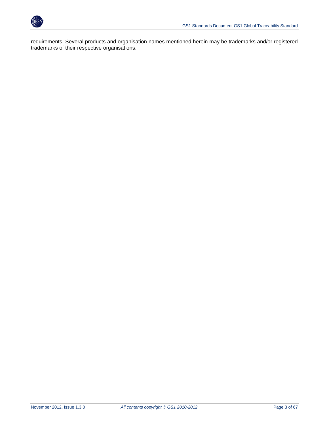

requirements. Several products and organisation names mentioned herein may be trademarks and/or registered trademarks of their respective organisations.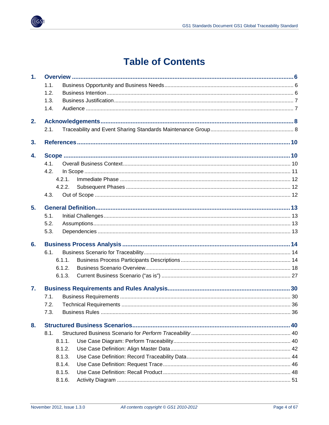

# **Table of Contents**

| 1 <sub>r</sub> |        |  |
|----------------|--------|--|
|                | 1.1.   |  |
|                | 1.2.   |  |
|                | 1.3.   |  |
|                | 1.4.   |  |
| 2.             |        |  |
|                | 2.1.   |  |
| 3.             |        |  |
| 4.             |        |  |
|                | 4.1.   |  |
|                | 4.2.   |  |
|                | 4 2 1  |  |
|                | 4.2.2. |  |
|                | 4.3.   |  |
| 5 <sub>1</sub> |        |  |
|                | 5.1.   |  |
|                | 5.2.   |  |
|                | 5.3.   |  |
| 6.             |        |  |
|                | 6.1.   |  |
|                | 6.1.1. |  |
|                | 6.1.2. |  |
|                | 6.1.3. |  |
| 7.             |        |  |
|                | 7.1.   |  |
|                | 7.2.   |  |
|                | 7.3.   |  |
| 8.             |        |  |
|                | 8.1.   |  |
|                | 8.1.1. |  |
|                | 8.1.2. |  |
|                | 8.1.3. |  |
|                | 8.1.4. |  |
|                | 8.1.5. |  |
|                | 8.1.6. |  |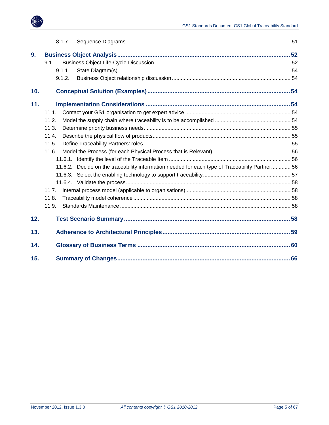

|     | 8.1.7.                                                                                            |  |
|-----|---------------------------------------------------------------------------------------------------|--|
| 9.  |                                                                                                   |  |
|     | 9.1.                                                                                              |  |
|     | 9.1.1.                                                                                            |  |
|     | 9.1.2.                                                                                            |  |
| 10. |                                                                                                   |  |
| 11. |                                                                                                   |  |
|     | 11.1.                                                                                             |  |
|     | 11.2.                                                                                             |  |
|     | 11.3.                                                                                             |  |
|     | 11.4.                                                                                             |  |
|     | 11.5.                                                                                             |  |
|     | 11.6.                                                                                             |  |
|     | 11.6.1.                                                                                           |  |
|     | Decide on the traceability information needed for each type of Traceability Partner 56<br>11.6.2. |  |
|     |                                                                                                   |  |
|     |                                                                                                   |  |
|     | 11.7.                                                                                             |  |
|     | 11.8.                                                                                             |  |
|     | 11.9.                                                                                             |  |
| 12. |                                                                                                   |  |
| 13. |                                                                                                   |  |
| 14. |                                                                                                   |  |
| 15. |                                                                                                   |  |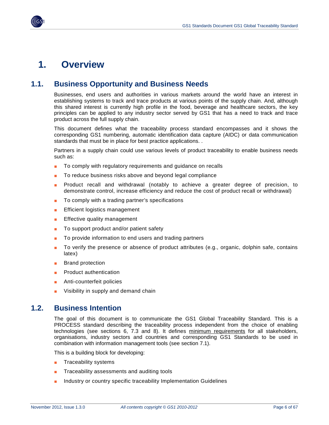

## <span id="page-5-0"></span>**1. Overview**

### <span id="page-5-1"></span>**1.1. Business Opportunity and Business Needs**

Businesses, end users and authorities in various markets around the world have an interest in establishing systems to track and trace products at various points of the supply chain. And, although this shared interest is currently high profile in the food, beverage and healthcare sectors, the key principles can be applied to any industry sector served by GS1 that has a need to track and trace product across the full supply chain.

This document defines what the traceability process standard encompasses and it shows the corresponding GS1 numbering, automatic identification data capture (AIDC) or data communication standards that must be in place for best practice applications. .

Partners in a supply chain could use various levels of product traceability to enable business needs such as:

- To comply with regulatory requirements and guidance on recalls
- To reduce business risks above and beyond legal compliance
- Product recall and withdrawal (notably to achieve a greater degree of precision, to demonstrate control, increase efficiency and reduce the cost of product recall or withdrawal)
- To comply with a trading partner's specifications
- **Efficient logistics management**
- Effective quality management
- To support product and/or patient safety
- To provide information to end users and trading partners
- To verify the presence or absence of product attributes (e.g., organic, dolphin safe, contains latex)
- **Brand protection**
- Product authentication
- Anti-counterfeit policies
- Visibility in supply and demand chain

### <span id="page-5-2"></span>**1.2. Business Intention**

The goal of this document is to communicate the GS1 Global Traceability Standard. This is a PROCESS standard describing the traceability process independent from the choice of enabling technologies (see sections 6, 7.3 and 8). It defines minimum requirements for all stakeholders, organisations, industry sectors and countries and corresponding GS1 Standards to be used in combination with information management tools (see section 7.1).

This is a building block for developing:

- Traceability systems
- Traceability assessments and auditing tools
- Industry or country specific traceability Implementation Guidelines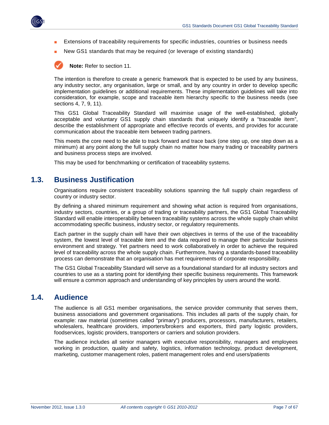

- Extensions of traceability requirements for specific industries, countries or business needs
- New GS1 standards that may be required (or leverage of existing standards)

**Note:** Refer to section 11.

The intention is therefore to create a generic framework that is expected to be used by any business, any industry sector, any organisation, large or small, and by any country in order to develop specific implementation guidelines or additional requirements. These implementation guidelines will take into consideration, for example, scope and traceable item hierarchy specific to the business needs (see sections 4, 7, 9, 11).

This GS1 Global Traceability Standard will maximise usage of the well-established, globally acceptable and voluntary GS1 supply chain standards that uniquely identify a "traceable item", describe the establishment of appropriate and effective records of events, and provides for accurate communication about the traceable item between trading partners.

This meets the core need to be able to track forward and trace back (one step up, one step down as a minimum) at any point along the full supply chain no matter how many trading or traceability partners and business process steps are involved.

This may be used for benchmarking or certification of traceability systems.

### <span id="page-6-0"></span>**1.3. Business Justification**

Organisations require consistent traceability solutions spanning the full supply chain regardless of country or industry sector.

By defining a shared minimum requirement and showing what action is required from organisations, industry sectors, countries, or a group of trading or traceability partners, the GS1 Global Traceability Standard will enable interoperability between traceability systems across the whole supply chain whilst accommodating specific business, industry sector, or regulatory requirements.

Each partner in the supply chain will have their own objectives in terms of the use of the traceability system, the lowest level of traceable item and the data required to manage their particular business environment and strategy. Yet partners need to work collaboratively in order to achieve the required level of traceability across the whole supply chain. Furthermore, having a standards-based traceability process can demonstrate that an organisation has met requirements of corporate responsibility.

The GS1 Global Traceability Standard will serve as a foundational standard for all industry sectors and countries to use as a starting point for identifying their specific business requirements. This framework will ensure a common approach and understanding of key principles by users around the world.

### <span id="page-6-1"></span>**1.4. Audience**

The audience is all GS1 member organisations, the service provider community that serves them, business associations and government organisations. This includes all parts of the supply chain, for example: raw material (sometimes called "primary") producers, processors, manufacturers, retailers, wholesalers, healthcare providers, importers/brokers and exporters, third party logistic providers, foodservices, logistic providers, transporters or carriers and solution providers.

The audience includes all senior managers with executive responsibility, managers and employees working in production, quality and safety, logistics, information technology, product development, marketing, customer management roles, patient management roles and end users/patients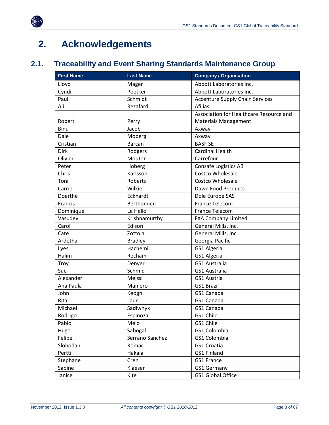



# <span id="page-7-0"></span>**2. Acknowledgements**

## <span id="page-7-1"></span>**2.1. Traceability and Event Sharing Standards Maintenance Group**

| <b>First Name</b> | <b>Last Name</b> | <b>Company / Organisation</b>           |
|-------------------|------------------|-----------------------------------------|
| Lloyd             | Mager            | Abbott Laboratories Inc.                |
| Cyndi             | Poetker          | Abbott Laboratories Inc.                |
| Paul              | Schmidt          | <b>Accenture Supply Chain Services</b>  |
| Ali               | Rezafard         | <b>Afilias</b>                          |
|                   |                  | Association for Healthcare Resource and |
| Robert            | Perry            | <b>Materials Management</b>             |
| Binu              | Jacob            | Axway                                   |
| Dale              | Moberg           | Axway                                   |
| Cristian          | <b>Barcan</b>    | <b>BASF SE</b>                          |
| Dirk              | Rodgers          | <b>Cardinal Health</b>                  |
| Olivier           | Mouton           | Carrefour                               |
| Peter             | Hoberg           | Consafe Logistics AB                    |
| Chris             | Karlsson         | Costco Wholesale                        |
| Toni              | Roberts          | <b>Costco Wholesale</b>                 |
| Carrie            | Wilkie           | Dawn Food Products                      |
| Doerthe           | Eckhardt         | Dole Europe SAS                         |
| Francis           | Berthomieu       | France Telecom                          |
| Dominique         | Le Hello         | France Telecom                          |
| Vasudev           | Krishnamurthy    | <b>FXA Company Limited</b>              |
| Carol             | Edison           | General Mills, Inc.                     |
| Cate              | Zottola          | General Mills, Inc.                     |
| Ardetha           | <b>Bradley</b>   | Georgia Pacific                         |
| Lyes              | Hachemi          | GS1 Algeria                             |
| Halim             | Recham           | GS1 Algeria                             |
| Troy              | Denyer           | GS1 Australia                           |
| Sue               | Schmid           | <b>GS1 Australia</b>                    |
| Alexander         | Meissl           | GS1 Austria                             |
| Ana Paula         | Maniero          | <b>GS1 Brazil</b>                       |
| John              | Keogh            | GS1 Canada                              |
| Rita              | Laur             | GS1 Canada                              |
| Michael           | Sadiwnyk         | GS1 Canada                              |
| Rodrigo           | Espinoza         | GS1 Chile                               |
| Pablo             | Melo             | GS1 Chile                               |
| Hugo              | Sabogal          | GS1 Colombia                            |
| Felipe            | Serrano Sanchez  | GS1 Colombia                            |
| Slobodan          | Romac            | GS1 Croatia                             |
| Pertti            | Hakala           | GS1 Finland                             |
| Stephane          | Cren             | GS1 France                              |
| Sabine            | Klaeser          | <b>GS1 Germany</b>                      |
| Janice            | Kite             | GS1 Global Office                       |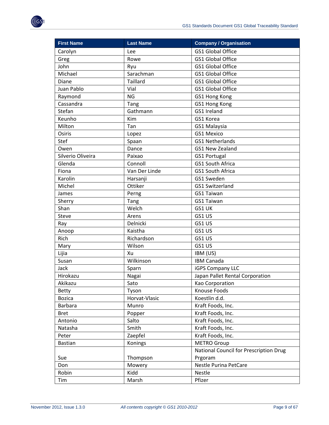| <b>First Name</b> | <b>Last Name</b> | <b>Company / Organisation</b>          |
|-------------------|------------------|----------------------------------------|
| Carolyn           | Lee              | <b>GS1 Global Office</b>               |
| Greg              | Rowe             | <b>GS1 Global Office</b>               |
| John              | Ryu              | <b>GS1 Global Office</b>               |
| Michael           | Sarachman        | <b>GS1 Global Office</b>               |
| Diane             | <b>Taillard</b>  | <b>GS1 Global Office</b>               |
| Juan Pablo        | Vial             | <b>GS1 Global Office</b>               |
| Raymond           | <b>NG</b>        | GS1 Hong Kong                          |
| Cassandra         | Tang             | GS1 Hong Kong                          |
| Stefan            | Gathmann         | GS1 Ireland                            |
| Keunho            | Kim              | GS1 Korea                              |
| Milton            | Tan              | GS1 Malaysia                           |
| Osiris            | Lopez            | GS1 Mexico                             |
| Stef              | Spaan            | <b>GS1 Netherlands</b>                 |
| Owen              | Dance            | GS1 New Zealand                        |
| Silverio Oliveira | Paixao           | GS1 Portugal                           |
| Glenda            | Connoll          | <b>GS1 South Africa</b>                |
| Fiona             | Van Der Linde    | GS1 South Africa                       |
| Karolin           | Harsanji         | GS1 Sweden                             |
| Michel            | Ottiker          | GS1 Switzerland                        |
| James             | Perng            | GS1 Taiwan                             |
| Sherry            | Tang             | GS1 Taiwan                             |
| Shan              | Welch            | GS1 UK                                 |
| <b>Steve</b>      | Arens            | GS1 US                                 |
| Ray               | Delnicki         | GS1 US                                 |
| Anoop             | Kaistha          | GS1 US                                 |
| Rich              | Richardson       | GS1 US                                 |
| Mary              | Wilson           | GS1 US                                 |
| Lijia             | Xu               | IBM (US)                               |
| Susan             | Wilkinson        | <b>IBM Canada</b>                      |
| Jack              | Sparn            | <b>iGPS Company LLC</b>                |
| Hirokazu          | Nagai            | Japan Pallet Rental Corporation        |
| Akikazu           | Sato             | Kao Corporation                        |
| <b>Betty</b>      | Tyson            | Knouse Foods                           |
| <b>Bozica</b>     | Horvat-Vlasic    | Koestlin d.d.                          |
| <b>Barbara</b>    | Munro            | Kraft Foods, Inc.                      |
| <b>Bret</b>       | Popper           | Kraft Foods, Inc.                      |
| Antonio           | Salto            | Kraft Foods, Inc.                      |
| Natasha           | Smith            | Kraft Foods, Inc.                      |
| Peter             | Zaepfel          | Kraft Foods, Inc.                      |
| <b>Bastian</b>    | Konings          | <b>METRO Group</b>                     |
|                   |                  | National Council for Prescription Drug |
| Sue               | Thompson         | Prgoram                                |
| Don               | Mowery           | <b>Nestle Purina PetCare</b>           |
| Robin             | Kidd             | <b>Nestle</b>                          |
| Tim               | Marsh            | Pfizer                                 |
|                   |                  |                                        |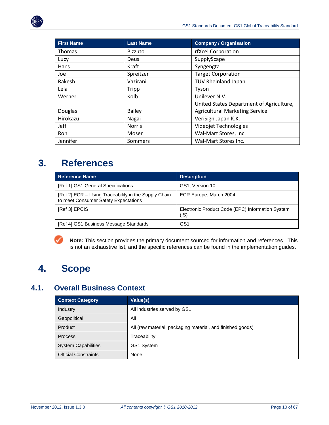

| <b>First Name</b> | <b>Last Name</b> | <b>Company / Organisation</b>            |
|-------------------|------------------|------------------------------------------|
| Thomas            | Pizzuto          | rfXcel Corporation                       |
| Lucy              | Deus             | SupplyScape                              |
| Hans              | Kraft            | Syngengta                                |
| Joe               | Spreitzer        | <b>Target Corporation</b>                |
| Rakesh            | Vazirani         | <b>TUV Rheinland Japan</b>               |
| Lela              | Tripp            | Tyson                                    |
| Werner            | Kolb             | Unilever N.V.                            |
|                   |                  | United States Department of Agriculture, |
| Douglas           | <b>Bailey</b>    | <b>Agricultural Marketing Service</b>    |
| Hirokazu          | Nagai            | VeriSign Japan K.K.                      |
| Jeff              | <b>Norris</b>    | Videojet Technologies                    |
| Ron               | Moser            | Wal-Mart Stores, Inc.                    |
| Jennifer          | Sommers          | Wal-Mart Stores Inc.                     |

## <span id="page-9-0"></span>**3. References**

| <b>Reference Name</b>                                                                        | <b>Description</b>                                       |
|----------------------------------------------------------------------------------------------|----------------------------------------------------------|
| [Ref 1] GS1 General Specifications                                                           | GS1, Version 10                                          |
| [Ref 2] ECR - Using Traceability in the Supply Chain<br>to meet Consumer Safety Expectations | ECR Europe, March 2004                                   |
| [Ref 3] EPCIS                                                                                | Electronic Product Code (EPC) Information System<br>(IS) |
| [Ref 4] GS1 Business Message Standards                                                       | GS <sub>1</sub>                                          |

**Note:** This section provides the primary document sourced for information and references. This is not an exhaustive list, and the specific references can be found in the implementation guides.

# <span id="page-9-1"></span>**4. Scope**

## <span id="page-9-2"></span>**4.1. Overall Business Context**

| <b>Context Category</b>     | Value(s)                                                   |
|-----------------------------|------------------------------------------------------------|
| Industry                    | All industries served by GS1                               |
| Geopolitical                | All                                                        |
| Product                     | All (raw material, packaging material, and finished goods) |
| <b>Process</b>              | Traceability                                               |
| <b>System Capabilities</b>  | GS1 System                                                 |
| <b>Official Constraints</b> | None                                                       |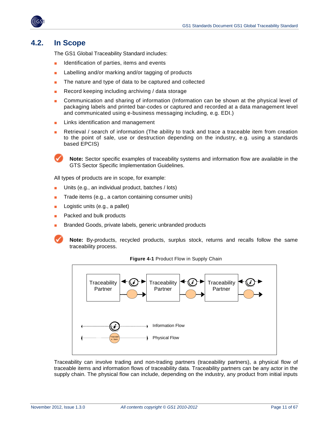

### <span id="page-10-0"></span>**4.2. In Scope**

The GS1 Global Traceability Standard includes:

- Identification of parties, items and events
- Labelling and/or marking and/or tagging of products
- The nature and type of data to be captured and collected
- Record keeping including archiving / data storage
- Communication and sharing of information (Information can be shown at the physical level of packaging labels and printed bar-codes or captured and recorded at a data management level and communicated using e-business messaging including, e.g. EDI.)
- Links identification and management
- Retrieval / search of information (The ability to track and trace a traceable item from creation to the point of sale, use or destruction depending on the industry, e.g. using a standards based EPCIS)

**Note:** Sector specific examples of traceability systems and information flow are available in the GTS Sector Specific Implementation Guidelines.

All types of products are in scope, for example:

- Units (e.g., an individual product, batches / lots)
- Trade items (e.g., a carton containing consumer units)
- Logistic units (e.g., a pallet)
- Packed and bulk products
- Branded Goods, private labels, generic unbranded products

**Note:** By-products, recycled products, surplus stock, returns and recalls follow the same traceability process.



**Figure 4-1** Product Flow in Supply Chain

Traceability can involve trading and non-trading partners (traceability partners), a physical flow of traceable items and information flows of traceability data. Traceability partners can be any actor in the supply chain. The physical flow can include, depending on the industry, any product from initial inputs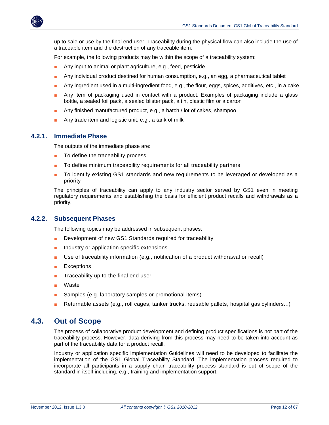

up to sale or use by the final end user. Traceability during the physical flow can also include the use of a traceable item and the destruction of any traceable item.

For example, the following products may be within the scope of a traceability system:

- Any input to animal or plant agriculture, e.g., feed, pesticide
- Any individual product destined for human consumption, e.g., an egg, a pharmaceutical tablet
- Any ingredient used in a multi-ingredient food, e.g., the flour, eggs, spices, additives, etc., in a cake
- Any item of packaging used in contact with a product. Examples of packaging include a glass bottle, a sealed foil pack, a sealed blister pack, a tin, plastic film or a carton
- Any finished manufactured product, e.g., a batch / lot of cakes, shampoo
- Any trade item and logistic unit, e.g., a tank of milk

#### <span id="page-11-0"></span>**4.2.1. Immediate Phase**

The outputs of the immediate phase are:

- To define the traceability process
- To define minimum traceability requirements for all traceability partners
- To identify existing GS1 standards and new requirements to be leveraged or developed as a priority

The principles of traceability can apply to any industry sector served by GS1 even in meeting regulatory requirements and establishing the basis for efficient product recalls and withdrawals as a priority.

#### <span id="page-11-1"></span>**4.2.2. Subsequent Phases**

The following topics may be addressed in subsequent phases:

- Development of new GS1 Standards required for traceability
- Industry or application specific extensions
- Use of traceability information (e.g., notification of a product withdrawal or recall)
- **Exceptions**
- Traceability up to the final end user
- Waste
- Samples (e.g. laboratory samples or promotional items)
- Returnable assets (e.g., roll cages, tanker trucks, reusable pallets, hospital gas cylinders...)

### <span id="page-11-2"></span>**4.3. Out of Scope**

The process of collaborative product development and defining product specifications is not part of the traceability process. However, data deriving from this process may need to be taken into account as part of the traceability data for a product recall.

Industry or application specific Implementation Guidelines will need to be developed to facilitate the implementation of the GS1 Global Traceability Standard. The implementation process required to incorporate all participants in a supply chain traceability process standard is out of scope of the standard in itself including, e.g., training and implementation support.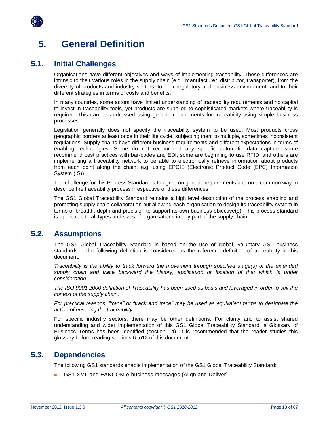

## <span id="page-12-0"></span>**5. General Definition**

### <span id="page-12-1"></span>**5.1. Initial Challenges**

Organisations have different objectives and ways of implementing traceability. These differences are intrinsic to their various roles in the supply chain (e.g., manufacturer, distributor, transporter), from the diversity of products and industry sectors, to their regulatory and business environment, and to their different strategies in terms of costs and benefits.

In many countries, some actors have limited understanding of traceability requirements and no capital to invest in traceability tools, yet products are supplied to sophisticated markets where traceability is required. This can be addressed using generic requirements for traceability using simple business processes.

Legislation generally does not specify the traceability system to be used. Most products cross geographic borders at least once in their life cycle, subjecting them to multiple, sometimes inconsistent regulations. Supply chains have different business requirements and different expectations in terms of enabling technologies. Some do not recommend any specific automatic data capture, some recommend best practices with bar-codes and EDI, some are beginning to use RFID, and others are implementing a traceability network to be able to electronically retrieve information about products from each point along the chain, e.g. using EPCIS (Electronic Product Code (EPC) Information System (IS)).

The challenge for this Process Standard is to agree on generic requirements and on a common way to describe the traceability process irrespective of these differences.

The GS1 Global Traceability Standard remains a high level description of the process enabling and promoting supply chain collaboration but allowing each organisation to design its traceability system in terms of breadth, depth and precision to support its own business objective(s). This process standard is applicable to all types and sizes of organisations in any part of the supply chain.

### <span id="page-12-2"></span>**5.2. Assumptions**

The GS1 Global Traceability Standard is based on the use of global, voluntary GS1 business standards. The following definition is considered as the reference definition of traceability in this document:

*Traceability is the ability to track forward the movement through specified stage(s) of the extended*  supply chain and trace backward the history, application or location of that which is under *consideration*

*The ISO 9001:2000 definition of Traceability has been used as basis and leveraged in order to suit the context of the supply chain.*

*For practical reasons, "trace" or "track and trace" may be used as equivalent terms to designate the action of ensuring the traceability*

For specific industry sectors, there may be other definitions. For clarity and to assist shared understanding and wider implementation of this GS1 Global Traceability Standard, a Glossary of Business Terms has been identified (section 14). It is recommended that the reader studies this glossary before reading sections 6 to12 of this document.

### <span id="page-12-3"></span>**5.3. Dependencies**

The following GS1 standards enable implementation of the GS1 Global Traceability Standard:

GS1 XML and EANCOM e-business messages (Align and Deliver)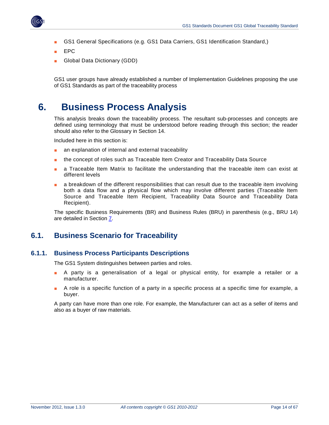

- GS1 General Specifications (e.g. GS1 Data Carriers, GS1 Identification Standard,)
- EPC
- Global Data Dictionary (GDD)

GS1 user groups have already established a number of Implementation Guidelines proposing the use of GS1 Standards as part of the traceability process

## <span id="page-13-0"></span>**6. Business Process Analysis**

This analysis breaks down the traceability process. The resultant sub-processes and concepts are defined using terminology that must be understood before reading through this section; the reader should also refer to the Glossary in Section [14.](#page-59-0)

Included here in this section is:

- an explanation of internal and external traceability
- the concept of roles such as Traceable Item Creator and Traceability Data Source
- a Traceable Item Matrix to facilitate the understanding that the traceable item can exist at different levels
- a breakdown of the different responsibilities that can result due to the traceable item involving both a data flow and a physical flow which may involve different parties (Traceable Item Source and Traceable Item Recipient, Traceability Data Source and Traceability Data Recipient).

The specific Business Requirements (BR) and Business Rules (BRU) in parenthesis (e.g., BRU 14) are detailed in Section [7.](#page-29-0)

### <span id="page-13-1"></span>**6.1. Business Scenario for Traceability**

#### <span id="page-13-2"></span>**6.1.1. Business Process Participants Descriptions**

The GS1 System distinguishes between parties and roles.

- A party is a generalisation of a legal or physical entity, for example a retailer or a manufacturer.
- A role is a specific function of a party in a specific process at a specific time for example, a buyer.

A party can have more than one role. For example, the Manufacturer can act as a seller of items and also as a buyer of raw materials.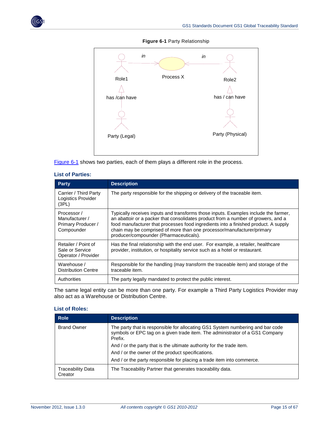<span id="page-14-0"></span>

#### **Figure 6-1** Party Relationship



[Figure 6-1](#page-14-0) shows two parties, each of them plays a different role in the process.

| <b>Party</b>                                                      | <b>Description</b>                                                                                                                                                                                                                                                                                                                                                                  |
|-------------------------------------------------------------------|-------------------------------------------------------------------------------------------------------------------------------------------------------------------------------------------------------------------------------------------------------------------------------------------------------------------------------------------------------------------------------------|
| Carrier / Third Party<br>Logistics Provider<br>(3PL)              | The party responsible for the shipping or delivery of the traceable item.                                                                                                                                                                                                                                                                                                           |
| Processor /<br>Manufacturer /<br>Primary Producer /<br>Compounder | Typically receives inputs and transforms those inputs. Examples include the farmer,<br>an abattoir or a packer that consolidates product from a number of growers, and a<br>food manufacturer that processes food ingredients into a finished product. A supply<br>chain may be comprised of more than one processor/manufacturer/primary<br>producer/compounder (Pharmaceuticals). |
| Retailer / Point of<br>Sale or Service<br>Operator / Provider     | Has the final relationship with the end user. For example, a retailer, healthcare<br>provider, institution, or hospitality service such as a hotel or restaurant.                                                                                                                                                                                                                   |
| Warehouse /<br><b>Distribution Centre</b>                         | Responsible for the handling (may transform the traceable item) and storage of the<br>traceable item.                                                                                                                                                                                                                                                                               |
| Authorities                                                       | The party legally mandated to protect the public interest.                                                                                                                                                                                                                                                                                                                          |

#### **List of Parties:**

The same legal entity can be more than one party. For example a Third Party Logistics Provider may also act as a Warehouse or Distribution Centre.

#### **List of Roles:**

| <b>Role</b>                         | <b>Description</b>                                                                                                                                                        |
|-------------------------------------|---------------------------------------------------------------------------------------------------------------------------------------------------------------------------|
| <b>Brand Owner</b>                  | The party that is responsible for allocating GS1 System numbering and bar code<br>symbols or EPC tag on a given trade item. The administrator of a GS1 Company<br>Prefix. |
|                                     | And / or the party that is the ultimate authority for the trade item.                                                                                                     |
|                                     | And / or the owner of the product specifications.                                                                                                                         |
|                                     | And / or the party responsible for placing a trade item into commerce.                                                                                                    |
| <b>Traceability Data</b><br>Creator | The Traceability Partner that generates traceability data.                                                                                                                |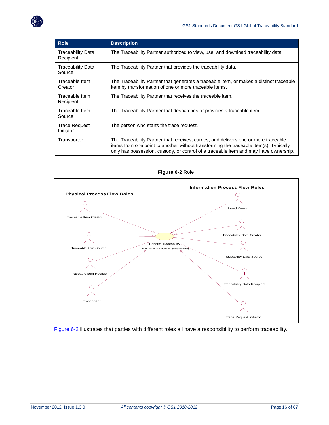| <b>Role</b>                           | <b>Description</b>                                                                                                                                                                                                                                                   |
|---------------------------------------|----------------------------------------------------------------------------------------------------------------------------------------------------------------------------------------------------------------------------------------------------------------------|
| <b>Traceability Data</b><br>Recipient | The Traceability Partner authorized to view, use, and download traceability data.                                                                                                                                                                                    |
| Traceability Data<br>Source           | The Traceability Partner that provides the traceability data.                                                                                                                                                                                                        |
| Traceable Item<br>Creator             | The Traceability Partner that generates a traceable item, or makes a distinct traceable<br>item by transformation of one or more traceable items.                                                                                                                    |
| Traceable Item<br>Recipient           | The Traceability Partner that receives the traceable item.                                                                                                                                                                                                           |
| Traceable Item<br>Source              | The Traceability Partner that despatches or provides a traceable item.                                                                                                                                                                                               |
| Trace Request<br>Initiator            | The person who starts the trace request.                                                                                                                                                                                                                             |
| Transporter                           | The Traceability Partner that receives, carries, and delivers one or more traceable<br>items from one point to another without transforming the traceable item(s). Typically<br>only has possession, custody, or control of a traceable item and may have ownership. |

<span id="page-15-0"></span>



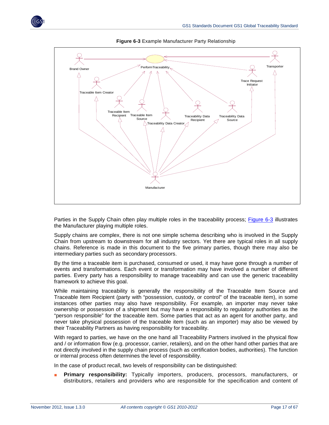<span id="page-16-0"></span>

**Figure 6-3** Example Manufacturer Party Relationship

Parties in the Supply Chain often play multiple roles in the traceability process; [Figure 6-3](#page-16-0) illustrates the Manufacturer playing multiple roles.

Supply chains are complex, there is not one simple schema describing who is involved in the Supply Chain from upstream to downstream for all industry sectors. Yet there are typical roles in all supply chains. Reference is made in this document to the five primary parties, though there may also be intermediary parties such as secondary processors.

By the time a traceable item is purchased, consumed or used, it may have gone through a number of events and transformations. Each event or transformation may have involved a number of different parties. Every party has a responsibility to manage traceability and can use the generic traceability framework to achieve this goal.

While maintaining traceability is generally the responsibility of the Traceable Item Source and Traceable Item Recipient (party with "possession, custody, or control" of the traceable item), in some instances other parties may also have responsibility. For example, an importer may never take ownership or possession of a shipment but may have a responsibility to regulatory authorities as the "person responsible" for the traceable item. Some parties that act as an agent for another party, and never take physical possession of the traceable item (such as an importer) may also be viewed by their Traceability Partners as having responsibility for traceability.

With regard to parties, we have on the one hand all Traceability Partners involved in the physical flow and / or information flow (e.g. processor, carrier, retailers), and on the other hand other parties that are not directly involved in the supply chain process (such as certification bodies, authorities). The function or internal process often determines the level of responsibility.

In the case of product recall, two levels of responsibility can be distinguished:

■ **Primary responsibility:** Typically importers, producers, processors, manufacturers, or distributors, retailers and providers who are responsible for the specification and content of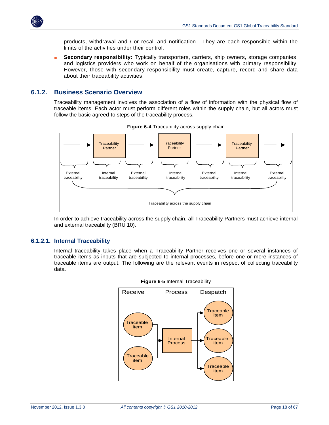

products, withdrawal and / or recall and notification. They are each responsible within the limits of the activities under their control.

**Secondary responsibility:** Typically transporters, carriers, ship owners, storage companies, and logistics providers who work on behalf of the organisations with primary responsibility. However, those with secondary responsibility must create, capture, record and share data about their traceability activities.

### <span id="page-17-0"></span>**6.1.2. Business Scenario Overview**

Traceability management involves the association of a flow of information with the physical flow of traceable items. Each actor must perform different roles within the supply chain, but all actors must follow the basic agreed-to steps of the traceability process.



**Figure 6-4** Traceability across supply chain

In order to achieve traceability across the supply chain, all Traceability Partners must achieve internal and external traceability (BRU 10).

#### **6.1.2.1. Internal Traceability**

Internal traceability takes place when a Traceability Partner receives one or several instances of traceable items as inputs that are subjected to internal processes, before one or more instances of traceable items are output. The following are the relevant events in respect of collecting traceability data.



**Figure 6-5** Internal Traceability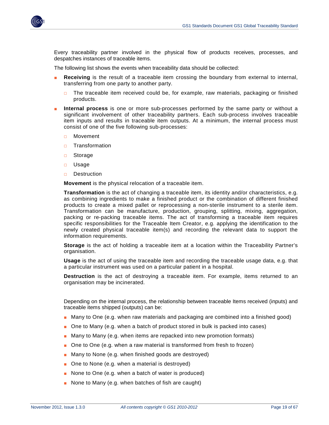

Every traceability partner involved in the physical flow of products receives, processes, and despatches instances of traceable items.

The following list shows the events when traceability data should be collected:

- **Receiving** is the result of a traceable item crossing the boundary from external to internal, transferring from one party to another party.
	- $\Box$  The traceable item received could be, for example, raw materials, packaging or finished products.
- **Internal process** is one or more sub-processes performed by the same party or without a significant involvement of other traceability partners. Each sub-process involves traceable item inputs and results in traceable item outputs. At a minimum, the internal process must consist of one of the five following sub-processes:
	- □ Movement
	- □ Transformation
	- □ Storage
	- □ Usage
	- □ Destruction

**Movement** is the physical relocation of a traceable item.

**Transformation** is the act of changing a traceable item, its identity and/or characteristics, e.g. as combining ingredients to make a finished product or the combination of different finished products to create a mixed pallet or reprocessing a non-sterile instrument to a sterile item. Transformation can be manufacture, production, grouping, splitting, mixing, aggregation, packing or re-packing traceable items. The act of transforming a traceable item requires specific responsibilities for the Traceable Item Creator, e.g. applying the identification to the newly created physical traceable item(s) and recording the relevant data to support the information requirements.

**Storage** is the act of holding a traceable item at a location within the Traceability Partner's organisation.

**Usage** is the act of using the traceable item and recording the traceable usage data, e.g. that a particular instrument was used on a particular patient in a hospital.

**Destruction** is the act of destroying a traceable item. For example, items returned to an organisation may be incinerated.

Depending on the internal process, the relationship between traceable Items received (inputs) and traceable items shipped (outputs) can be:

- Many to One (e.g. when raw materials and packaging are combined into a finished good)
- One to Many (e.g. when a batch of product stored in bulk is packed into cases)
- Many to Many (e.g. when items are repacked into new promotion formats)
- One to One (e.g. when a raw material is transformed from fresh to frozen)
- Many to None (e.g. when finished goods are destroyed)
- One to None (e.g. when a material is destroyed)
- None to One (e.g. when a batch of water is produced)
- None to Many (e.g. when batches of fish are caught)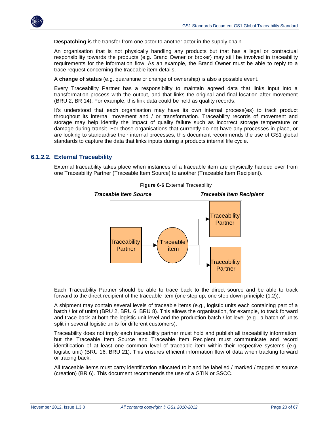

**Despatching** is the transfer from one actor to another actor in the supply chain.

An organisation that is not physically handling any products but that has a legal or contractual responsibility towards the products (e.g. Brand Owner or broker) may still be involved in traceability requirements for the information flow. As an example, the Brand Owner must be able to reply to a trace request concerning the traceable item details.

A **change of status** (e.g. quarantine or change of ownership) is also a possible event.

Every Traceability Partner has a responsibility to maintain agreed data that links input into a transformation process with the output, and that links the original and final location after movement (BRU 2, BR 14). For example, this link data could be held as quality records.

It's understood that each organisation may have its own internal process(es) to track product throughout its internal movement and / or transformation. Traceability records of movement and storage may help identify the impact of quality failure such as incorrect storage temperature or damage during transit. For those organisations that currently do not have any processes in place, or are looking to standardise their internal processes, this document recommends the use of GS1 global standards to capture the data that links inputs during a products internal life cycle.

#### **6.1.2.2. External Traceability**

External traceability takes place when instances of a traceable item are physically handed over from one Traceability Partner (Traceable Item Source) to another (Traceable Item Recipient).



**Figure 6-6** External Traceability

Each Traceability Partner should be able to trace back to the direct source and be able to track forward to the direct recipient of the traceable item (one step up, one step down principle (1.2)).

A shipment may contain several levels of traceable items (e.g., logistic units each containing part of a batch / lot of units) (BRU 2, BRU 6, BRU 8). This allows the organisation, for example, to track forward and trace back at both the logistic unit level and the production batch / lot level (e.g., a batch of units split in several logistic units for different customers).

Traceability does not imply each traceability partner must hold and publish all traceability information, but the Traceable Item Source and Traceable Item Recipient must communicate and record identification of at least one common level of traceable item within their respective systems (e.g. logistic unit) (BRU 16, BRU 21). This ensures efficient information flow of data when tracking forward or tracing back.

All traceable items must carry identification allocated to it and be labelled / marked / tagged at source (creation) (BR 6). This document recommends the use of a GTIN or SSCC.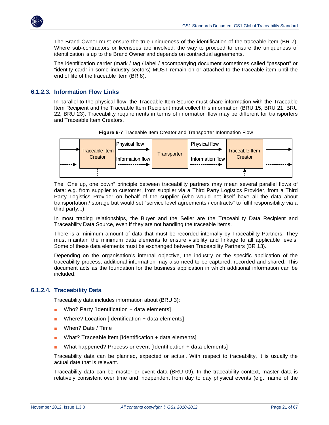

The Brand Owner must ensure the true uniqueness of the identification of the traceable item (BR 7). Where sub-contractors or licensees are involved, the way to proceed to ensure the uniqueness of identification is up to the Brand Owner and depends on contractual agreements.

The identification carrier (mark / tag / label / accompanying document sometimes called "passport" or "identity card" in some industry sectors) MUST remain on or attached to the traceable item until the end of life of the traceable item (BR 8).

#### **6.1.2.3. Information Flow Links**

In parallel to the physical flow, the Traceable Item Source must share information with the Traceable Item Recipient and the Traceable Item Recipient must collect this information (BRU 15, BRU 21, BRU 22, BRU 23). Traceability requirements in terms of information flow may be different for transporters and Traceable Item Creators.



**Figure 6-7** Traceable Item Creator and Transporter Information Flow

The "One up, one down" principle between traceability partners may mean several parallel flows of data: e.g. from supplier to customer, from supplier via a Third Party Logistics Provider, from a Third Party Logistics Provider on behalf of the supplier (who would not itself have all the data about transportation / storage but would set "service level agreements / contracts" to fulfil responsibility via a third party...)

In most trading relationships, the Buyer and the Seller are the Traceability Data Recipient and Traceability Data Source, even if they are not handling the traceable items.

There is a minimum amount of data that must be recorded internally by Traceability Partners. They must maintain the minimum data elements to ensure visibility and linkage to all applicable levels. Some of these data elements must be exchanged between Traceability Partners (BR 13).

Depending on the organisation's internal objective, the industry or the specific application of the traceability process, additional information may also need to be captured, recorded and shared. This document acts as the foundation for the business application in which additional information can be included.

#### **6.1.2.4. Traceability Data**

Traceability data includes information about (BRU 3):

- Who? Party [Identification + data elements]
- Where? Location  $[Identification + data elements]$
- When? Date / Time
- What? Traceable item [Identification + data elements]
- What happened? Process or event [Identification + data elements]

Traceability data can be planned, expected or actual. With respect to traceability, it is usually the actual date that is relevant.

Traceability data can be master or event data (BRU 09). In the traceability context, master data is relatively consistent over time and independent from day to day physical events (e.g., name of the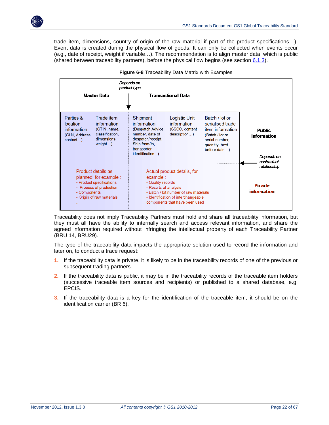

trade item, dimensions, country of origin of the raw material if part of the product specifications…). Event data is created during the physical flow of goods. It can only be collected when events occur (e.g., date of receipt, weight if variable…). The recommendation is to align master data, which is public (shared between traceability partners), before the physical flow begins (see section [6.1.3\)](#page-26-0).



**Figure 6-8** Traceability Data Matrix with Examples

Traceability does not imply Traceability Partners must hold and share **all** traceability information, but they must all have the ability to internally search and access relevant information, and share the agreed information required without infringing the intellectual property of each Traceability Partner (BRU 14, BRU29).

The type of the traceability data impacts the appropriate solution used to record the information and later on, to conduct a trace request:

- **1.** If the traceability data is private, it is likely to be in the traceability records of one of the previous or subsequent trading partners.
- **2.** If the traceability data is public, it may be in the traceability records of the traceable item holders (successive traceable item sources and recipients) or published to a shared database, e.g. EPCIS.
- **3.** If the traceability data is a key for the identification of the traceable item, it should be on the identification carrier (BR 6).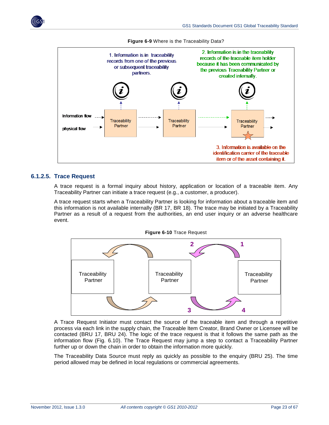



**Figure 6-9** Where is the Traceability Data?

#### **6.1.2.5. Trace Request**

A trace request is a formal inquiry about history, application or location of a traceable item. Any Traceability Partner can initiate a trace request (e.g., a customer, a producer).

A trace request starts when a Traceability Partner is looking for information about a traceable item and this information is not available internally (BR 17, BR 18). The trace may be initiated by a Traceability Partner as a result of a request from the authorities, an end user inquiry or an adverse healthcare event.



A Trace Request Initiator must contact the source of the traceable item and through a repetitive process via each link in the supply chain, the Traceable Item Creator, Brand Owner or Licensee will be contacted (BRU 17, BRU 24). The logic of the trace request is that it follows the same path as the information flow (Fig. 6.10). The Trace Request may jump a step to contact a Traceability Partner further up or down the chain in order to obtain the information more quickly.

The Traceability Data Source must reply as quickly as possible to the enquiry (BRU 25). The time period allowed may be defined in local regulations or commercial agreements.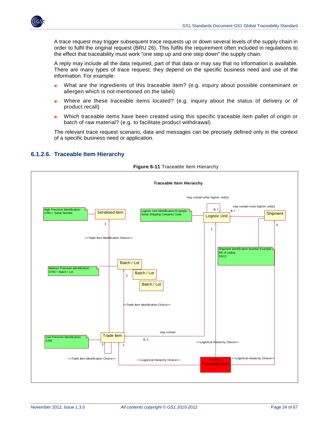

A trace request may trigger subsequent trace requests up or down several levels of the supply chain in order to fulfil the original request (BRU 26). This fulfils the requirement often included in regulations to the effect that traceability must work "one step up and one step down" the supply chain.

A reply may include all the data required, part of that data or may say that no information is available. There are many types of trace request; they depend on the specific business need and use of the information. For example:

- What are the ingredients of this traceable item? (e.g. inquiry about possible contaminant or allergen which is not mentioned on the label)
- Where are these traceable items located? (e.g. inquiry about the status of delivery or of product recall)
- Which traceable items have been created using this specific traceable item pallet of origin or batch of raw material? (e.g. to facilitate product withdrawal)

The relevant trace request scenario, data and messages can be precisely defined only in the context of a specific business need or application.

<span id="page-23-0"></span>

#### <span id="page-23-1"></span>**6.1.2.6. Traceable Item Hierarchy**

**Figure 6-11** Traceable Item Hierarchy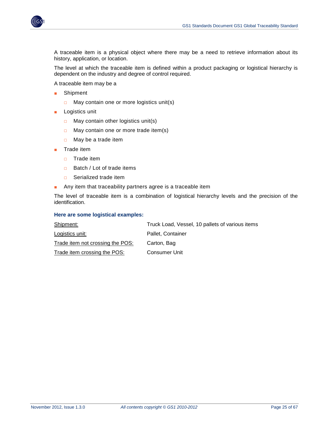

A traceable item is a physical object where there may be a need to retrieve information about its history, application, or location.

The level at which the traceable item is defined within a product packaging or logistical hierarchy is dependent on the industry and degree of control required.

A traceable item may be a

- Shipment
	- $\Box$  May contain one or more logistics unit(s)
- Logistics unit
	- □ May contain other logistics unit(s)
	- □ May contain one or more trade item(s)
	- $\Box$  May be a trade item
- Trade item
	- □ Trade item
	- □ Batch / Lot of trade items
	- □ Serialized trade item
- Any item that traceability partners agree is a traceable item

The level of traceable item is a combination of logistical hierarchy levels and the precision of the identification.

#### **Here are some logistical examples:**

| Shipment:                        | Truck Load, Vessel, 10 pallets of various items |
|----------------------------------|-------------------------------------------------|
| <u>Logistics unit:</u>           | Pallet, Container                               |
| Trade item not crossing the POS: | Carton, Bag                                     |
| Trade item crossing the POS:     | <b>Consumer Unit</b>                            |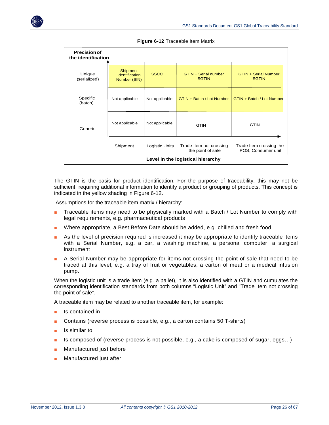<span id="page-25-0"></span>

| <b>Precision of</b><br>the identification |                                                          |                |                                              |                                               |  |  |  |
|-------------------------------------------|----------------------------------------------------------|----------------|----------------------------------------------|-----------------------------------------------|--|--|--|
| Unique<br>(serialized)                    | <b>Shipment</b><br><b>Identification</b><br>Number (SIN) | <b>SSCC</b>    | GTIN + Serial number<br><b>SGTIN</b>         | <b>GTIN + Serial Number</b><br><b>SGTIN</b>   |  |  |  |
| Specific<br>(batch)                       | Not applicable                                           | Not applicable | GTIN + Batch / Lot Number                    | GTIN + Batch / Lot Number                     |  |  |  |
| Generic                                   | Not applicable                                           | Not applicable | <b>GTIN</b>                                  | <b>GTIN</b>                                   |  |  |  |
|                                           | Shipment                                                 | Logistic Units | Trade Item not crossing<br>the point of sale | Trade Item crossing the<br>POS, Consumer unit |  |  |  |
|                                           | Level in the logistical hierarchy                        |                |                                              |                                               |  |  |  |

**Figure 6-12** Traceable Item Matrix

The GTIN is the basis for product identification. For the purpose of traceability, this may not be sufficient, requiring additional information to identify a product or grouping of products. This concept is indicated in the yellow shading in Figure 6-12.

Assumptions for the traceable item matrix / hierarchy:

- Traceable items may need to be physically marked with a Batch / Lot Number to comply with legal requirements, e.g. pharmaceutical products
- Where appropriate, a Best Before Date should be added, e.g. chilled and fresh food
- As the level of precision required is increased it may be appropriate to identify traceable items with a Serial Number, e.g. a car, a washing machine, a personal computer, a surgical instrument
- A Serial Number may be appropriate for items not crossing the point of sale that need to be traced at this level, e.g. a tray of fruit or vegetables, a carton of meat or a medical infusion pump.

When the logistic unit is a trade item (e.g. a pallet), it is also identified with a GTIN and cumulates the corresponding identification standards from both columns "Logistic Unit" and "Trade Item not crossing the point of sale".

A traceable item may be related to another traceable item, for example:

- Is contained in
- Contains (reverse process is possible, e.g., a carton contains 50 T-shirts)
- Is similar to
- Is composed of (reverse process is not possible, e.g., a cake is composed of sugar, eggs...)
- Manufactured just before
- Manufactured just after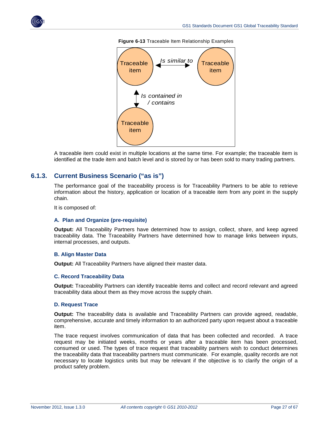



**Figure 6-13** Traceable Item Relationship Examples

A traceable item could exist in multiple locations at the same time. For example; the traceable item is identified at the trade item and batch level and is stored by or has been sold to many trading partners.

#### <span id="page-26-0"></span>**6.1.3. Current Business Scenario ("as is")**

The performance goal of the traceability process is for Traceability Partners to be able to retrieve information about the history, application or location of a traceable item from any point in the supply chain.

It is composed of:

#### **A. Plan and Organize (pre-requisite)**

**Output:** All Traceability Partners have determined how to assign, collect, share, and keep agreed traceability data. The Traceability Partners have determined how to manage links between inputs, internal processes, and outputs.

#### **B. Align Master Data**

**Output:** All Traceability Partners have aligned their master data.

#### **C. Record Traceability Data**

**Output:** Traceability Partners can identify traceable items and collect and record relevant and agreed traceability data about them as they move across the supply chain.

#### **D. Request Trace**

**Output:** The traceability data is available and Traceability Partners can provide agreed, readable, comprehensive, accurate and timely information to an authorized party upon request about a traceable item.

The trace request involves communication of data that has been collected and recorded. A trace request may be initiated weeks, months or years after a traceable item has been processed, consumed or used. The types of trace request that traceability partners wish to conduct determines the traceability data that traceability partners must communicate. For example, quality records are not necessary to locate logistics units but may be relevant if the objective is to clarify the origin of a product safety problem.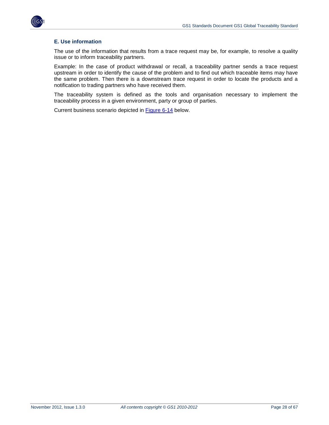

#### **E. Use information**

The use of the information that results from a trace request may be, for example, to resolve a quality issue or to inform traceability partners.

Example: In the case of product withdrawal or recall, a traceability partner sends a trace request upstream in order to identify the cause of the problem and to find out which traceable items may have the same problem. Then there is a downstream trace request in order to locate the products and a notification to trading partners who have received them.

The traceability system is defined as the tools and organisation necessary to implement the traceability process in a given environment, party or group of parties.

Current business scenario depicted in [Figure 6-14](#page-28-0) below.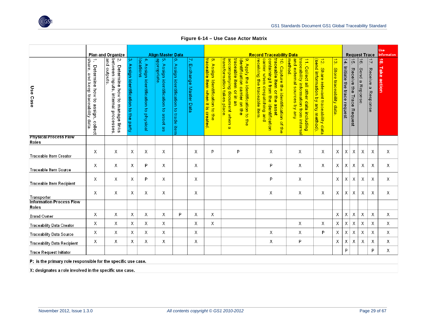

**Figure 6-14 – Use Case Actor Matrix**

<span id="page-28-0"></span>

|                                                 |                                                                                | Plan and Organize                                                                             |                                                                                           |                                                                    | <b>Align Master Data</b>                            |                                               |                                | <b>Record Traceability Data</b>                                      |                                                                                                                                                                         |                                                                                                                                                                                            | <b>Request Trace</b>                                                                                                                       |                                                                                          |                                          |                                              |                                               | Use<br>Information          |                                            |                       |
|-------------------------------------------------|--------------------------------------------------------------------------------|-----------------------------------------------------------------------------------------------|-------------------------------------------------------------------------------------------|--------------------------------------------------------------------|-----------------------------------------------------|-----------------------------------------------|--------------------------------|----------------------------------------------------------------------|-------------------------------------------------------------------------------------------------------------------------------------------------------------------------|--------------------------------------------------------------------------------------------------------------------------------------------------------------------------------------------|--------------------------------------------------------------------------------------------------------------------------------------------|------------------------------------------------------------------------------------------|------------------------------------------|----------------------------------------------|-----------------------------------------------|-----------------------------|--------------------------------------------|-----------------------|
| Use Case                                        | share,<br>Determine how to<br>and keep traceability data<br>assign,<br>collect | and outputs<br>between inputs,<br>Ņ<br>Determine<br>how to manage links<br>internal processes | $\tilde{\phantom{a}}$<br>Assign identification<br>$\overline{\sigma}$<br>5<br>10<br>party | locations<br>$\rightarrow$<br>Assign identification to<br>physical | appropriate<br>Assign identification to<br>asset as | စ္ပ<br>Assign identification to<br>trade item | $\geq$<br>Exchange Master Data | 8. Assign Identification to the<br>traceable item when it is created | transformation takes place<br>accompanying<br>traceable<br>identification carrier on the<br>9. Apply the identification to the<br>item<br>or in<br>document when a<br>g | traceable item or the<br>receiving the traceable item.<br>carrier when despatching and<br>containingit from the<br>10. Capture the identification of the<br><b>identification</b><br>asset | and external sources by any<br><b>method</b><br>traceability information from interna<br>$\Rightarrow$<br>Collect all other data including | 12. Share relevant traceability data<br>(send information by any method).<br>any method) | $\frac{1}{3}$<br>Store traceability data | $\frac{14}{1}$<br>Initiate the trace request | $\vec{v}$<br>Receive<br>많<br>Trace<br>Request | $\vec{e}$<br>Send a Reponse | $\overrightarrow{L}$<br>Receive a Response | ్లే<br>Take<br>action |
| <b>Physical Process Flow</b><br>Roles           |                                                                                |                                                                                               |                                                                                           |                                                                    |                                                     |                                               |                                |                                                                      |                                                                                                                                                                         |                                                                                                                                                                                            |                                                                                                                                            |                                                                                          |                                          |                                              |                                               |                             |                                            |                       |
| <b>Traceable Item Creator</b>                   | Х                                                                              | Χ                                                                                             | Χ                                                                                         | Х                                                                  | Χ                                                   |                                               | Χ                              | P                                                                    | P                                                                                                                                                                       | Χ                                                                                                                                                                                          | Χ                                                                                                                                          | Х                                                                                        | Χ                                        | Х                                            | X                                             | Х                           | Χ                                          | Х                     |
| Traceable Item Source                           | Χ                                                                              | X                                                                                             | X                                                                                         | P                                                                  | X                                                   |                                               | X                              |                                                                      |                                                                                                                                                                         | P                                                                                                                                                                                          | X                                                                                                                                          | X                                                                                        | X                                        | Х                                            | Χ                                             | Χ                           | X                                          | Χ                     |
| Traceable Item Recipient                        | χ                                                                              | X                                                                                             | Χ                                                                                         | P                                                                  | X                                                   |                                               | X                              |                                                                      |                                                                                                                                                                         | P                                                                                                                                                                                          | X                                                                                                                                          |                                                                                          | X                                        | Χ                                            | χ                                             | Χ                           | Χ                                          | Χ                     |
| Transporter                                     | Χ                                                                              | Χ                                                                                             | Χ                                                                                         | Χ                                                                  | Χ                                                   |                                               | Χ                              |                                                                      |                                                                                                                                                                         | Χ                                                                                                                                                                                          | Χ                                                                                                                                          | Χ                                                                                        | Χ                                        | X                                            | Х                                             | Х                           | Χ                                          | Χ                     |
| <b>Information Process Flow</b><br><b>Roles</b> |                                                                                |                                                                                               |                                                                                           |                                                                    |                                                     |                                               |                                |                                                                      |                                                                                                                                                                         |                                                                                                                                                                                            |                                                                                                                                            |                                                                                          |                                          |                                              |                                               |                             |                                            |                       |
| <b>Brand Owner</b>                              | Χ                                                                              | Χ                                                                                             | Χ                                                                                         | Χ                                                                  | Χ                                                   | P                                             | χ                              | X                                                                    |                                                                                                                                                                         |                                                                                                                                                                                            |                                                                                                                                            |                                                                                          | Х                                        | χ                                            | χ                                             | Х                           | Χ                                          | X                     |
| <b>Traceability Data Creator</b>                | Х                                                                              | Х                                                                                             | X                                                                                         | Χ                                                                  | X                                                   |                                               | χ                              | Χ                                                                    |                                                                                                                                                                         |                                                                                                                                                                                            | X                                                                                                                                          | χ                                                                                        | Χ                                        | Χ                                            | $\mathsf X$                                   | Х                           | Х                                          | X                     |
| <b>Traceability Data Source</b>                 | Χ                                                                              | Χ                                                                                             | Χ                                                                                         | Χ                                                                  | X                                                   |                                               | Χ                              |                                                                      |                                                                                                                                                                         | X                                                                                                                                                                                          | X                                                                                                                                          | P                                                                                        | Χ                                        | χ                                            | X                                             | Χ                           | X                                          | Χ                     |
| <b>Traceability Data Recipient</b>              | Х                                                                              | Χ                                                                                             | Χ                                                                                         | Х                                                                  | Χ                                                   |                                               | Χ                              |                                                                      |                                                                                                                                                                         | Χ                                                                                                                                                                                          | P                                                                                                                                          |                                                                                          | Χ                                        | χ                                            | χ                                             | Х                           | X                                          | Χ                     |
| <b>Trace Request Initiator</b>                  |                                                                                |                                                                                               |                                                                                           |                                                                    |                                                     |                                               |                                |                                                                      |                                                                                                                                                                         |                                                                                                                                                                                            |                                                                                                                                            |                                                                                          |                                          | P                                            |                                               |                             | P                                          | X                     |
|                                                 | P: is the primary role responsible for the specific use case.                  |                                                                                               |                                                                                           |                                                                    |                                                     |                                               |                                |                                                                      |                                                                                                                                                                         |                                                                                                                                                                                            |                                                                                                                                            |                                                                                          |                                          |                                              |                                               |                             |                                            |                       |

X: designates a role involved in the specific use case.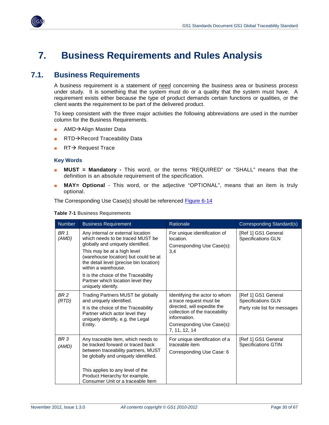

## <span id="page-29-0"></span>**7. Business Requirements and Rules Analysis**

### <span id="page-29-1"></span>**7.1. Business Requirements**

A business requirement is a statement of need concerning the business area or business process under study. It is something that the system must do or a quality that the system must have. A requirement exists either because the type of product demands certain functions or qualities, or the client wants the requirement to be part of the delivered product.

To keep consistent with the three major activities the following abbreviations are used in the number column for the Business Requirements.

- AMD→Align Master Data
- $RTD \rightarrow$  Record Traceability Data
- RT $\rightarrow$  Request Trace

#### **Key Words**

- **MUST = Mandatory -** This word, or the terms "REQUIRED" or "SHALL" means that the definition is an absolute requirement of the specification.
- MAY= Optional This word, or the adjective "OPTIONAL", means that an item is truly optional.

The Corresponding Use Case(s) should be referenced [Figure 6-14](#page-28-0)

| Number                   | <b>Business Requirement</b>                                                                                                                                                                                                                                                                                                                            | Rationale                                                                                                                                                                                | <b>Corresponding Standard(s)</b>                                                 |
|--------------------------|--------------------------------------------------------------------------------------------------------------------------------------------------------------------------------------------------------------------------------------------------------------------------------------------------------------------------------------------------------|------------------------------------------------------------------------------------------------------------------------------------------------------------------------------------------|----------------------------------------------------------------------------------|
| BR <sub>1</sub><br>(AMD) | Any internal or external location<br>which needs to be traced MUST be<br>globally and uniquely identified.<br>This may be at a high level<br>(warehouse location) but could be at<br>the detail level (precise bin location)<br>within a warehouse.<br>It is the choice of the Traceability<br>Partner which location level they<br>uniquely identify. | For unique identification of<br>location.<br>Corresponding Use Case(s):<br>3,4                                                                                                           | [Ref 1] GS1 General<br><b>Specifications GLN</b>                                 |
| BR <sub>2</sub><br>(RTD) | Trading Partners MUST be globally<br>and uniquely identified.<br>It is the choice of the Traceability<br>Partner which actor level they<br>uniquely identify, e.g. the Legal<br>Entity.                                                                                                                                                                | Identifying the actor to whom<br>a trace request must be<br>directed, will expedite the<br>collection of the traceability<br>information.<br>Corresponding Use Case(s):<br>7, 11, 12, 14 | [Ref 1] GS1 General<br><b>Specifications GLN</b><br>Party role list for messages |
| BR <sub>3</sub><br>(AMD) | Any traceable item, which needs to<br>be tracked forward or traced back<br>between traceability partners, MUST<br>be globally and uniquely identified.<br>This applies to any level of the<br>Product Hierarchy for example,<br>Consumer Unit or a traceable Item                                                                                      | For unique identification of a<br>traceable item<br>Corresponding Use Case: 6                                                                                                            | [Ref 1] GS1 General<br><b>Specifications GTIN</b>                                |

**Table 7-1** Business Requirements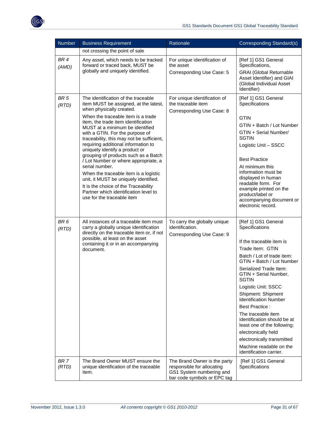

| <b>Number</b>            | <b>Business Requirement</b>                                                                                                                                                                                                                                                                                                                                                                                                                                                                                                                                                                                                                                                          | Rationale                                                                                                             | Corresponding Standard(s)                                                                                                                                                                                                                                                                                                                                                                                                                                                                                         |
|--------------------------|--------------------------------------------------------------------------------------------------------------------------------------------------------------------------------------------------------------------------------------------------------------------------------------------------------------------------------------------------------------------------------------------------------------------------------------------------------------------------------------------------------------------------------------------------------------------------------------------------------------------------------------------------------------------------------------|-----------------------------------------------------------------------------------------------------------------------|-------------------------------------------------------------------------------------------------------------------------------------------------------------------------------------------------------------------------------------------------------------------------------------------------------------------------------------------------------------------------------------------------------------------------------------------------------------------------------------------------------------------|
|                          | not crossing the point of sale                                                                                                                                                                                                                                                                                                                                                                                                                                                                                                                                                                                                                                                       |                                                                                                                       |                                                                                                                                                                                                                                                                                                                                                                                                                                                                                                                   |
| BR <sub>4</sub><br>(AMD) | Any asset, which needs to be tracked<br>forward or traced back, MUST be                                                                                                                                                                                                                                                                                                                                                                                                                                                                                                                                                                                                              | For unique identification of<br>the asset                                                                             | [Ref 1] GS1 General<br>Specifications,                                                                                                                                                                                                                                                                                                                                                                                                                                                                            |
|                          | globally and uniquely identified.                                                                                                                                                                                                                                                                                                                                                                                                                                                                                                                                                                                                                                                    | Corresponding Use Case: 5                                                                                             | <b>GRAI</b> (Global Returnable<br>Asset Identifier) and GIAI<br>(Global Individual Asset<br>Identifier)                                                                                                                                                                                                                                                                                                                                                                                                           |
| BR <sub>5</sub><br>(RTD) | The identification of the traceable<br>item MUST be assigned, at the latest,<br>when physically created.<br>When the traceable item is a trade<br>item, the trade item identification<br>MUST at a minimum be identified<br>with a GTIN. For the purpose of<br>traceability, this may not be sufficient,<br>requiring additional information to<br>uniquely identify a product or<br>grouping of products such as a Batch<br>/ Lot Number or where appropriate, a<br>serial number.<br>When the traceable item is a logistic<br>unit, it MUST be uniquely identified.<br>It is the choice of the Traceability<br>Partner which identification level to<br>use for the traceable item | For unique identification of<br>the traceable item<br>Corresponding Use Case: 8                                       | [Ref 1] GS1 General<br>Specifications<br><b>GTIN</b><br>GTIN + Batch / Lot Number<br>GTIN + Serial Number/<br><b>SGTIN</b><br>Logistic Unit - SSCC<br><b>Best Practice</b><br>At minimum this<br>information must be<br>displayed in human<br>readable form. For<br>example printed on the<br>product/label or<br>accompanying document or<br>electronic record.                                                                                                                                                  |
| BR <sub>6</sub><br>(RTD) | All instances of a traceable item must<br>carry a globally unique identification<br>directly on the traceable item or, if not<br>possible, at least on the asset<br>containing it or in an accompanying<br>document.                                                                                                                                                                                                                                                                                                                                                                                                                                                                 | To carry the globally unique<br>identification.<br>Corresponding Use Case: 9                                          | [Ref 1] GS1 General<br>Specifications<br>If the traceable item is<br>Trade Item: GTIN<br>Batch / Lot of trade item:<br>GTIN + Batch / Lot Number<br>Serialized Trade Item:<br>GTIN + Serial Number,<br>SGTIN<br>Logistic Unit: SSCC<br>Shipment: Shipment<br><b>Identification Number</b><br><b>Best Practice:</b><br>The traceable item<br>identification should be at<br>least one of the following:<br>electronically held<br>electronically transmitted<br>Machine readable on the<br>identification carrier. |
| BR <sub>7</sub><br>(RTD) | The Brand Owner MUST ensure the<br>unique identification of the traceable<br>item.                                                                                                                                                                                                                                                                                                                                                                                                                                                                                                                                                                                                   | The Brand Owner is the party<br>responsible for allocating<br>GS1 System numbering and<br>bar code symbols or EPC tag | [Ref 1] GS1 General<br>Specifications                                                                                                                                                                                                                                                                                                                                                                                                                                                                             |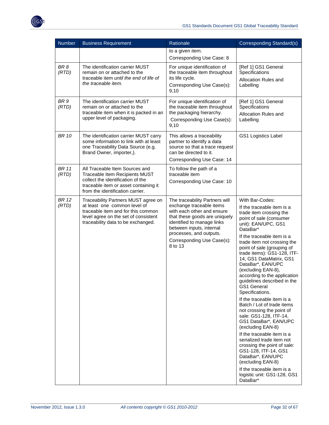

| <b>Number</b>            | <b>Business Requirement</b>                                                                                                                                                             | Rationale                                                                                                                                                                                                                                               | Corresponding Standard(s)                                                                                                                                                                                                                                                                                                                                                                                                                                                                                                                                                                                                                                                                                                                                                                                                                            |
|--------------------------|-----------------------------------------------------------------------------------------------------------------------------------------------------------------------------------------|---------------------------------------------------------------------------------------------------------------------------------------------------------------------------------------------------------------------------------------------------------|------------------------------------------------------------------------------------------------------------------------------------------------------------------------------------------------------------------------------------------------------------------------------------------------------------------------------------------------------------------------------------------------------------------------------------------------------------------------------------------------------------------------------------------------------------------------------------------------------------------------------------------------------------------------------------------------------------------------------------------------------------------------------------------------------------------------------------------------------|
|                          |                                                                                                                                                                                         | to a given item.<br>Corresponding Use Case: 8                                                                                                                                                                                                           |                                                                                                                                                                                                                                                                                                                                                                                                                                                                                                                                                                                                                                                                                                                                                                                                                                                      |
| BR <sub>8</sub><br>(RTD) | The identification carrier MUST<br>remain on or attached to the<br>traceable item until the end of life of<br>the traceable item.                                                       | For unique identification of<br>the traceable item throughout<br>its life cycle.<br>Corresponding Use Case(s):<br>9,10                                                                                                                                  | [Ref 1] GS1 General<br>Specifications<br>Allocation Rules and<br>Labelling                                                                                                                                                                                                                                                                                                                                                                                                                                                                                                                                                                                                                                                                                                                                                                           |
| BR <sub>9</sub><br>(RTD) | The identification carrier MUST<br>remain on or attached to the<br>traceable item when it is packed in an<br>upper level of packaging.                                                  | For unique identification of<br>the traceable item throughout<br>the packaging hierarchy.<br>Corresponding Use Case(s):<br>9,10                                                                                                                         | [Ref 1] GS1 General<br>Specifications<br>Allocation Rules and<br>Labelling                                                                                                                                                                                                                                                                                                                                                                                                                                                                                                                                                                                                                                                                                                                                                                           |
| <b>BR 10</b>             | The identification carrier MUST carry<br>some information to link with at least<br>one Traceability Data Source (e.g.<br>Brand Owner, importer,).                                       | This allows a traceability<br>partner to identify a data<br>source so that a trace request<br>can be directed to it.<br>Corresponding Use Case: 14                                                                                                      | <b>GS1 Logistics Label</b>                                                                                                                                                                                                                                                                                                                                                                                                                                                                                                                                                                                                                                                                                                                                                                                                                           |
| <b>BR</b> 11<br>(RTD)    | All Traceable Item Sources and<br>Traceable Item Recipients MUST                                                                                                                        | To follow the path of a<br>traceable item                                                                                                                                                                                                               |                                                                                                                                                                                                                                                                                                                                                                                                                                                                                                                                                                                                                                                                                                                                                                                                                                                      |
|                          | collect the identification of the<br>traceable item or asset containing it<br>from the identification carrier.                                                                          | Corresponding Use Case: 10                                                                                                                                                                                                                              |                                                                                                                                                                                                                                                                                                                                                                                                                                                                                                                                                                                                                                                                                                                                                                                                                                                      |
| <b>BR 12</b><br>(RTD)    | Traceability Partners MUST agree on<br>at least one common level of<br>traceable item and for this common<br>level agree on the set of consistent<br>traceability data to be exchanged. | The traceability Partners will<br>exchange traceable items<br>with each other and ensure<br>that these goods are uniquely<br>identified to manage links<br>between inputs, internal<br>processes, and outputs.<br>Corresponding Use Case(s):<br>8 to 13 | With Bar-Codes:<br>If the traceable item is a<br>trade item crossing the<br>point of sale (consumer<br>unit): EAN/UPC, GS1<br>DataBar*<br>If the traceable item is a<br>trade item not crossing the<br>point of sale (grouping of<br>trade items): GS1-128, ITF-<br>14, GS1 DataMatrix, GS1<br>DataBar*, EAN/UPC<br>(excluding EAN-8),<br>according to the application<br>guidelines described in the<br><b>GS1 General</b><br>Specifications.<br>If the traceable item is a<br>Batch / Lot of trade items<br>not crossing the point of<br>sale: GS1-128, ITF-14,<br>GS1 DataBar*, EAN/UPC<br>(excluding EAN-8)<br>If the traceable item is a<br>serialized trade item not<br>crossing the point of sale:<br>GS1-128, ITF-14, GS1<br>DataBar*, EAN/UPC<br>(excluding EAN-8)<br>If the traceable item is a<br>logistic unit: GS1-128, GS1<br>DataBar* |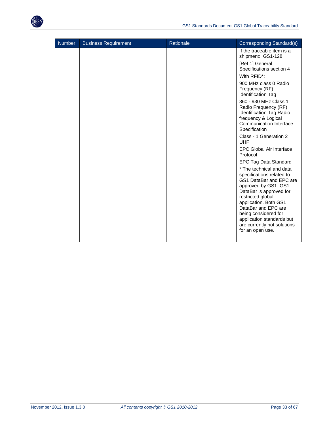

| <b>Number</b> | <b>Business Requirement</b> | Rationale | Corresponding Standard(s)                                                                                                                                                                                                                                                                                        |
|---------------|-----------------------------|-----------|------------------------------------------------------------------------------------------------------------------------------------------------------------------------------------------------------------------------------------------------------------------------------------------------------------------|
|               |                             |           | If the traceable item is a<br>shipment: GS1-128.                                                                                                                                                                                                                                                                 |
|               |                             |           | [Ref 1] General<br>Specifications section 4                                                                                                                                                                                                                                                                      |
|               |                             |           | With RFID <sup>*</sup> :                                                                                                                                                                                                                                                                                         |
|               |                             |           | 900 MHz class 0 Radio<br>Frequency (RF)<br>Identification Tag                                                                                                                                                                                                                                                    |
|               |                             |           | 860 - 930 MHz Class 1<br>Radio Frequency (RF)<br>Identification Tag Radio<br>frequency & Logical<br>Communication Interface<br>Specification                                                                                                                                                                     |
|               |                             |           | Class - 1 Generation 2<br><b>UHF</b>                                                                                                                                                                                                                                                                             |
|               |                             |           | <b>EPC Global Air Interface</b><br>Protocol                                                                                                                                                                                                                                                                      |
|               |                             |           | EPC Tag Data Standard                                                                                                                                                                                                                                                                                            |
|               |                             |           | * The technical and data<br>specifications related to<br>GS1 DataBar and EPC are<br>approved by GS1. GS1<br>DataBar is approved for<br>restricted global<br>application. Both GS1<br>DataBar and EPC are<br>being considered for<br>application standards but<br>are currently not solutions<br>for an open use. |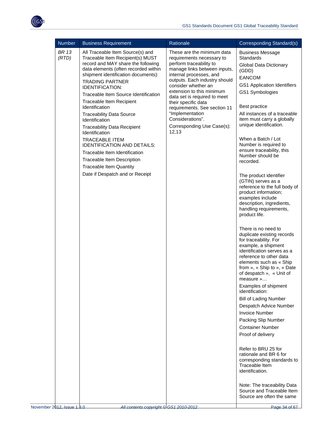

| <b>BR 13</b><br>These are the minimum data<br>All Traceable Item Source(s) and<br><b>Business Message</b><br>(RTD)<br>Traceable Item Recipient(s) MUST<br>Standards<br>requirements necessary to<br>record and MAY share the following<br>perform traceability to<br>Global Data Dictionary<br>data elements (often recorded within<br>manage links between inputs,<br>(GDD)<br>shipment identification documents):<br>internal processes, and<br><b>EANCOM</b><br>outputs. Each industry should<br><b>TRADING PARTNER</b>                                                                                                                                                                                                                                                                                                                                                                                                                                                                                                                                                                                                                                                                                                                                                                                                                                                                                                                                                                                                                                                                                                                                                                                                                                                                      |  |
|-------------------------------------------------------------------------------------------------------------------------------------------------------------------------------------------------------------------------------------------------------------------------------------------------------------------------------------------------------------------------------------------------------------------------------------------------------------------------------------------------------------------------------------------------------------------------------------------------------------------------------------------------------------------------------------------------------------------------------------------------------------------------------------------------------------------------------------------------------------------------------------------------------------------------------------------------------------------------------------------------------------------------------------------------------------------------------------------------------------------------------------------------------------------------------------------------------------------------------------------------------------------------------------------------------------------------------------------------------------------------------------------------------------------------------------------------------------------------------------------------------------------------------------------------------------------------------------------------------------------------------------------------------------------------------------------------------------------------------------------------------------------------------------------------|--|
| GS1 Application Identifiers<br>consider whether an<br><b>IDENTIFICATION:</b><br>extension to this minimum<br>GS1 Symbologies<br>Traceable Item Source Identification<br>data set is required to meet<br>Traceable Item Recipient<br>their specific data<br>Best practice<br>Identification<br>requirements. See section 11<br>"Implementation<br>All instances of a traceable<br><b>Traceability Data Source</b><br>Considerations".<br>item must carry a globally<br>Identification<br>unique identification.<br>Corresponding Use Case(s):<br><b>Traceability Data Recipient</b><br>12,13<br>Identification<br>When a Batch / Lot<br><b>TRACEABLE ITEM</b><br>Number is required to<br><b>IDENTIFICATION AND DETAILS:</b><br>ensure traceability, this<br>Traceable Item Identification<br>Number should be<br><b>Traceable Item Description</b><br>recorded.<br><b>Traceable Item Quantity</b><br>Date if Despatch and or Receipt<br>The product identifier<br>(GTIN) serves as a<br>reference to the full body of<br>product information;<br>examples include<br>description, ingredients,<br>handling requirements,<br>product life.<br>There is no need to<br>duplicate existing records<br>for traceability. For<br>example, a shipment<br>identification serves as a<br>reference to other data<br>elements such as « Ship<br>from », « Ship to », « Date<br>of despatch », « Unit of<br>measure »<br>Examples of shipment<br>identification:<br><b>Bill of Lading Number</b><br>Despatch Advice Number<br><b>Invoice Number</b><br>Packing Slip Number<br><b>Container Number</b><br>Proof of delivery<br>Refer to BRU 25 for<br>rationale and BR 6 for<br>corresponding standards to<br>Traceable Item<br>identification.<br>Note: The traceability Data<br>Source and Traceable Item |  |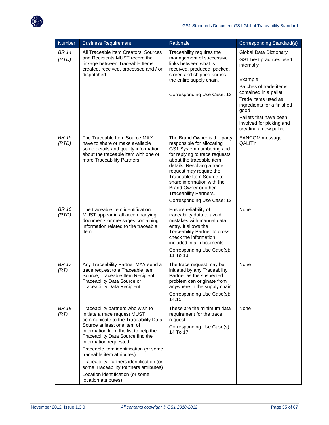

| <b>Number</b>         | <b>Business Requirement</b>                                                                                                                                                                                                                                                                                                                                                                                                                                                  | Rationale                                                                                                                                                                                                                                                                                                                                                      | Corresponding Standard(s)                                                                                                                                                                                                                                                        |
|-----------------------|------------------------------------------------------------------------------------------------------------------------------------------------------------------------------------------------------------------------------------------------------------------------------------------------------------------------------------------------------------------------------------------------------------------------------------------------------------------------------|----------------------------------------------------------------------------------------------------------------------------------------------------------------------------------------------------------------------------------------------------------------------------------------------------------------------------------------------------------------|----------------------------------------------------------------------------------------------------------------------------------------------------------------------------------------------------------------------------------------------------------------------------------|
| <b>BR 14</b><br>(RTD) | All Traceable Item Creators, Sources<br>and Recipients MUST record the<br>linkage between Traceable Items<br>created, received, processed and / or<br>dispatched.                                                                                                                                                                                                                                                                                                            | Traceability requires the<br>management of successive<br>links between what is<br>received, produced, packed,<br>stored and shipped across<br>the entire supply chain.<br>Corresponding Use Case: 13                                                                                                                                                           | <b>Global Data Dictionary</b><br>GS1 best practices used<br>internally<br>Example<br>Batches of trade items<br>contained in a pallet<br>Trade items used as<br>ingredients for a finished<br>good<br>Pallets that have been<br>involved for picking and<br>creating a new pallet |
| <b>BR 15</b><br>(RTD) | The Traceable Item Source MAY<br>have to share or make available<br>some details and quality information<br>about the traceable item with one or<br>more Traceability Partners.                                                                                                                                                                                                                                                                                              | The Brand Owner is the party<br>responsible for allocating<br>GS1 System numbering and<br>for replying to trace requests<br>about the traceable item<br>details. Resolving a trace<br>request may require the<br>Traceable Item Source to<br>share information with the<br>Brand Owner or other<br><b>Traceability Partners.</b><br>Corresponding Use Case: 12 | EANCOM message<br>QALITY                                                                                                                                                                                                                                                         |
| <b>BR 16</b><br>(RTD) | The traceable item identification<br>MUST appear in all accompanying<br>documents or messages containing<br>information related to the traceable<br>item.                                                                                                                                                                                                                                                                                                                    | Ensure reliability of<br>traceability data to avoid<br>mistakes with manual data<br>entry. It allows the<br>Traceability Partner to cross<br>check the information<br>included in all documents.<br>Corresponding Use Case(s):<br>11 To 13                                                                                                                     | None                                                                                                                                                                                                                                                                             |
| <b>BR</b> 17<br>(RT)  | Any Traceability Partner MAY send a<br>trace request to a Traceable Item<br>Source, Traceable Item Recipient,<br>Traceability Data Source or<br>Traceability Data Recipient.                                                                                                                                                                                                                                                                                                 | The trace request may be<br>initiated by any Traceability<br>Partner as the suspected<br>problem can originate from<br>anywhere in the supply chain.<br>Corresponding Use Case(s):<br>14,15                                                                                                                                                                    | None                                                                                                                                                                                                                                                                             |
| BR 18<br>(RT)         | Traceability partners who wish to<br>initiate a trace request MUST<br>communicate to the Traceability Data<br>Source at least one item of<br>information from the list to help the<br>Traceability Data Source find the<br>information requested :<br>Traceable item identification (or some<br>traceable item attributes)<br>Traceability Partners identification (or<br>some Traceability Partners attributes)<br>Location identification (or some<br>location attributes) | These are the minimum data<br>requirement for the trace<br>request.<br>Corresponding Use Case(s):<br>14 To 17                                                                                                                                                                                                                                                  | None                                                                                                                                                                                                                                                                             |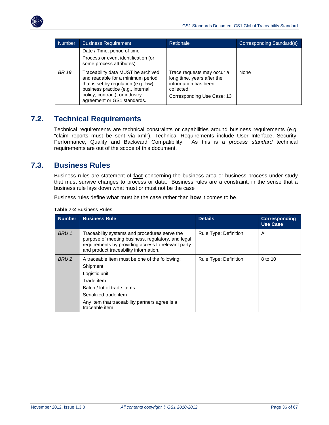

| Number       | <b>Business Requirement</b>                                                                                                                                                                                            | Rationale                                                                                                                    | Corresponding Standard(s) |
|--------------|------------------------------------------------------------------------------------------------------------------------------------------------------------------------------------------------------------------------|------------------------------------------------------------------------------------------------------------------------------|---------------------------|
|              | Date / Time, period of time<br>Process or event identification (or<br>some process attributes)                                                                                                                         |                                                                                                                              |                           |
| <b>BR 19</b> | Traceability data MUST be archived<br>and readable for a minimum period<br>that is set by regulation (e.g. law),<br>business practice (e.g., internal<br>policy, contract), or industry<br>agreement or GS1 standards. | Trace requests may occur a<br>long time, years after the<br>information has been<br>collected.<br>Corresponding Use Case: 13 | None                      |

### <span id="page-35-0"></span>**7.2. Technical Requirements**

Technical requirements are technical constraints or capabilities around business requirements (e.g. "claim reports must be sent via xml"). Technical Requirements include User Interface, Security, Performance, Quality and Backward Compatibility. As this is a *process standard* technical requirements are out of the scope of this document.

### <span id="page-35-1"></span>**7.3. Business Rules**

Business rules are statement of **fact** concerning the business area or business process under study that must survive changes to process or data. Business rules are a constraint, in the sense that a business rule lays down what must or must not be the case

Business rules define **what** must be the case rather than **how** it comes to be.

| <b>Number</b>    | <b>Business Rule</b>                                                                                                                                                                                                 | <b>Details</b>        | <b>Corresponding</b><br><b>Use Case</b> |
|------------------|----------------------------------------------------------------------------------------------------------------------------------------------------------------------------------------------------------------------|-----------------------|-----------------------------------------|
| BRU 1            | Traceability systems and procedures serve the<br>purpose of meeting business, regulatory, and legal<br>requirements by providing access to relevant party<br>and product traceability information.                   | Rule Type: Definition | All                                     |
| BRU <sub>2</sub> | A traceable item must be one of the following:<br>Shipment<br>Logistic unit<br>Trade item<br>Batch / lot of trade items<br>Serialized trade item<br>Any item that traceability partners agree is a<br>traceable item | Rule Type: Definition | 8 to 10                                 |

**Table 7-2** Business Rules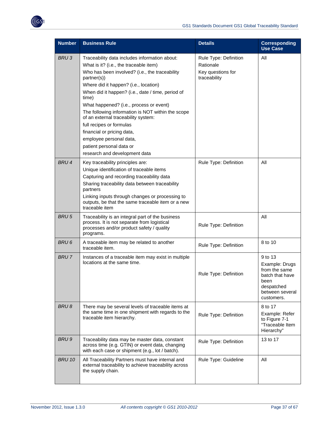

| <b>Number</b>    | <b>Business Rule</b>                                                                                                                                      | <b>Details</b>                    | <b>Corresponding</b><br><b>Use Case</b>                                                                              |
|------------------|-----------------------------------------------------------------------------------------------------------------------------------------------------------|-----------------------------------|----------------------------------------------------------------------------------------------------------------------|
| BRU <sub>3</sub> | Traceability data includes information about:                                                                                                             | Rule Type: Definition             | All                                                                                                                  |
|                  | What is it? (i.e., the traceable item)                                                                                                                    | Rationale                         |                                                                                                                      |
|                  | Who has been involved? (i.e., the traceability<br>partner(s))                                                                                             | Key questions for<br>traceability |                                                                                                                      |
|                  | Where did it happen? (i.e., location)                                                                                                                     |                                   |                                                                                                                      |
|                  | When did it happen? (i.e., date / time, period of<br>time)                                                                                                |                                   |                                                                                                                      |
|                  | What happened? (i.e., process or event)                                                                                                                   |                                   |                                                                                                                      |
|                  | The following information is NOT within the scope<br>of an external traceability system:                                                                  |                                   |                                                                                                                      |
|                  | full recipes or formulas                                                                                                                                  |                                   |                                                                                                                      |
|                  | financial or pricing data,                                                                                                                                |                                   |                                                                                                                      |
|                  | employee personal data,                                                                                                                                   |                                   |                                                                                                                      |
|                  | patient personal data or                                                                                                                                  |                                   |                                                                                                                      |
|                  | research and development data                                                                                                                             |                                   |                                                                                                                      |
| <b>BRU4</b>      | Key traceability principles are:                                                                                                                          | Rule Type: Definition             | All                                                                                                                  |
|                  | Unique identification of traceable items                                                                                                                  |                                   |                                                                                                                      |
|                  | Capturing and recording traceability data                                                                                                                 |                                   |                                                                                                                      |
|                  | Sharing traceability data between traceability<br>partners                                                                                                |                                   |                                                                                                                      |
|                  | Linking inputs through changes or processing to<br>outputs, be that the same traceable item or a new<br>traceable item                                    |                                   |                                                                                                                      |
| <b>BRU5</b>      | Traceability is an integral part of the business<br>process. It is not separate from logistical<br>processes and/or product safety / quality<br>programs. | Rule Type: Definition             | All                                                                                                                  |
| BRU 6            | A traceable item may be related to another<br>traceable item.                                                                                             | Rule Type: Definition             | 8 to 10                                                                                                              |
| <b>BRU7</b>      | Instances of a traceable item may exist in multiple<br>locations at the same time.                                                                        | Rule Type: Definition             | 9 to 13<br>Example: Drugs<br>from the same<br>batch that have<br>been<br>despatched<br>between several<br>customers. |
| <b>BRU8</b>      | There may be several levels of traceable items at<br>the same time in one shipment with regards to the<br>traceable item hierarchy.                       | Rule Type: Definition             | 8 to 17<br>Example: Refer<br>to Figure 7-1<br>"Traceable Item<br>Hierarchy"                                          |
| BRU 9            | Traceability data may be master data, constant<br>across time (e.g. GTIN) or event data, changing<br>with each case or shipment (e.g., lot / batch).      | Rule Type: Definition             | 13 to 17                                                                                                             |
| <b>BRU 10</b>    | All Traceability Partners must have internal and<br>external traceability to achieve traceability across<br>the supply chain.                             | Rule Type: Guideline              | All                                                                                                                  |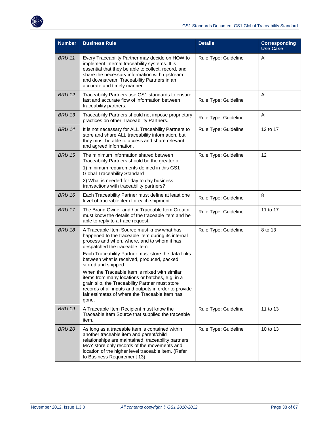

| <b>Number</b> | <b>Business Rule</b>                                                                                                                                                                                                                                                                                                                                                                                                                                                                                                                                                                      | <b>Details</b>       | <b>Corresponding</b><br><b>Use Case</b> |
|---------------|-------------------------------------------------------------------------------------------------------------------------------------------------------------------------------------------------------------------------------------------------------------------------------------------------------------------------------------------------------------------------------------------------------------------------------------------------------------------------------------------------------------------------------------------------------------------------------------------|----------------------|-----------------------------------------|
| <b>BRU 11</b> | Every Traceability Partner may decide on HOW to<br>implement internal traceability systems. It is<br>essential that they be able to collect, record, and<br>share the necessary information with upstream<br>and downstream Traceability Partners in an<br>accurate and timely manner.                                                                                                                                                                                                                                                                                                    | Rule Type: Guideline | All                                     |
| <b>BRU 12</b> | Traceability Partners use GS1 standards to ensure<br>fast and accurate flow of information between<br>traceability partners.                                                                                                                                                                                                                                                                                                                                                                                                                                                              | Rule Type: Guideline | All                                     |
| <b>BRU 13</b> | Traceability Partners should not impose proprietary<br>practices on other Traceability Partners.                                                                                                                                                                                                                                                                                                                                                                                                                                                                                          | Rule Type: Guideline | All                                     |
| <b>BRU 14</b> | It is not necessary for ALL Traceability Partners to<br>store and share ALL traceability information, but<br>they must be able to access and share relevant<br>and agreed information.                                                                                                                                                                                                                                                                                                                                                                                                    | Rule Type: Guideline | 12 to 17                                |
| <b>BRU 15</b> | The minimum information shared between<br>Traceability Partners should be the greater of:<br>1) minimum requirements defined in this GS1<br><b>Global Traceability Standard</b><br>2) What is needed for day to day business<br>transactions with traceability partners?                                                                                                                                                                                                                                                                                                                  | Rule Type: Guideline | 12                                      |
| <b>BRU 16</b> | Each Traceability Partner must define at least one<br>level of traceable item for each shipment.                                                                                                                                                                                                                                                                                                                                                                                                                                                                                          | Rule Type: Guideline | 8                                       |
| <b>BRU 17</b> | The Brand Owner and / or Traceable Item Creator<br>must know the details of the traceable item and be<br>able to reply to a trace request.                                                                                                                                                                                                                                                                                                                                                                                                                                                | Rule Type: Guideline | 11 to 17                                |
| <b>BRU 18</b> | A Traceable Item Source must know what has<br>happened to the traceable item during its internal<br>process and when, where, and to whom it has<br>despatched the traceable item.<br>Each Traceability Partner must store the data links<br>between what is received, produced, packed,<br>stored and shipped.<br>When the Traceable Item is mixed with similar<br>items from many locations or batches, e.g. in a<br>grain silo, the Traceability Partner must store<br>records of all inputs and outputs in order to provide<br>fair estimates of where the Traceable Item has<br>gone. | Rule Type: Guideline | 8 to 13                                 |
| <b>BRU 19</b> | A Traceable Item Recipient must know the<br>Traceable Item Source that supplied the traceable<br>item.                                                                                                                                                                                                                                                                                                                                                                                                                                                                                    | Rule Type: Guideline | 11 to 13                                |
| <b>BRU 20</b> | As long as a traceable item is contained within<br>another traceable item and parent/child<br>relationships are maintained, traceability partners<br>MAY store only records of the movements and<br>location of the higher level traceable item. (Refer<br>to Business Requirement 13)                                                                                                                                                                                                                                                                                                    | Rule Type: Guideline | 10 to 13                                |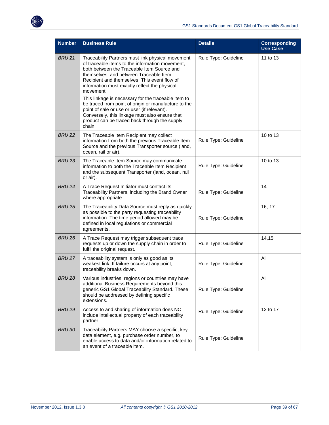

| <b>Number</b> | <b>Business Rule</b>                                                                                                                                                                                                                                                                                                                                                                                                                                                                                                                                                                  | <b>Details</b>       | <b>Corresponding</b><br><b>Use Case</b> |
|---------------|---------------------------------------------------------------------------------------------------------------------------------------------------------------------------------------------------------------------------------------------------------------------------------------------------------------------------------------------------------------------------------------------------------------------------------------------------------------------------------------------------------------------------------------------------------------------------------------|----------------------|-----------------------------------------|
| <b>BRU 21</b> | Traceability Partners must link physical movement<br>of traceable items to the information movement,<br>both between the Traceable Item Source and<br>themselves, and between Traceable Item<br>Recipient and themselves. This event flow of<br>information must exactly reflect the physical<br>movement.<br>This linkage is necessary for the traceable item to<br>be traced from point of origin or manufacture to the<br>point of sale or use or user (if relevant).<br>Conversely, this linkage must also ensure that<br>product can be traced back through the supply<br>chain. | Rule Type: Guideline | 11 to 13                                |
| <b>BRU 22</b> | The Traceable Item Recipient may collect<br>information from both the previous Traceable Item<br>Source and the previous Transporter source (land,<br>ocean, rail or air).                                                                                                                                                                                                                                                                                                                                                                                                            | Rule Type: Guideline | 10 to 13                                |
| <b>BRU 23</b> | The Traceable Item Source may communicate<br>information to both the Traceable Item Recipient<br>and the subsequent Transporter (land, ocean, rail<br>or air).                                                                                                                                                                                                                                                                                                                                                                                                                        | Rule Type: Guideline | 10 to 13                                |
| <b>BRU 24</b> | A Trace Request Initiator must contact its<br>Traceability Partners, including the Brand Owner<br>where appropriate                                                                                                                                                                                                                                                                                                                                                                                                                                                                   | Rule Type: Guideline | 14                                      |
| <b>BRU 25</b> | The Traceability Data Source must reply as quickly<br>as possible to the party requesting traceability<br>information. The time period allowed may be<br>defined in local regulations or commercial<br>agreements.                                                                                                                                                                                                                                                                                                                                                                    | Rule Type: Guideline | 16, 17                                  |
| <b>BRU 26</b> | A Trace Request may trigger subsequent trace<br>requests up or down the supply chain in order to<br>fulfil the original request.                                                                                                                                                                                                                                                                                                                                                                                                                                                      | Rule Type: Guideline | 14,15                                   |
| <b>BRU 27</b> | A traceability system is only as good as its<br>weakest link. If failure occurs at any point,<br>traceability breaks down.                                                                                                                                                                                                                                                                                                                                                                                                                                                            | Rule Type: Guideline | All                                     |
| <b>BRU 28</b> | Various industries, regions or countries may have<br>additional Business Requirements beyond this<br>generic GS1 Global Traceability Standard. These<br>should be addressed by defining specific<br>extensions.                                                                                                                                                                                                                                                                                                                                                                       | Rule Type: Guideline | All                                     |
| <b>BRU 29</b> | Access to and sharing of information does NOT<br>include intellectual property of each traceability<br>partner                                                                                                                                                                                                                                                                                                                                                                                                                                                                        | Rule Type: Guideline | 12 to 17                                |
| <b>BRU 30</b> | Traceability Partners MAY choose a specific, key<br>data element, e.g. purchase order number, to<br>enable access to data and/or information related to<br>an event of a traceable item.                                                                                                                                                                                                                                                                                                                                                                                              | Rule Type: Guideline |                                         |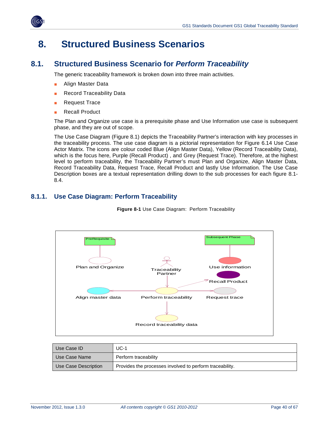

## <span id="page-39-0"></span>**8. Structured Business Scenarios**

### <span id="page-39-1"></span>**8.1. Structured Business Scenario for** *Perform Traceability*

The generic traceability framework is broken down into three main activities.

- Align Master Data
- **Record Traceability Data**
- **Request Trace**
- **Recall Product**

The Plan and Organize use case is a prerequisite phase and Use Information use case is subsequent phase, and they are out of scope.

The Use Case Diagram (Figure 8.1) depicts the Traceability Partner's interaction with key processes in the traceability process. The use case diagram is a pictorial representation for Figure 6.14 Use Case Actor Matrix. The icons are colour coded Blue (Align Master Data), Yellow (Record Traceability Data), which is the focus here, Purple (Recall Product) , and Grey (Request Trace). Therefore, at the highest level to perform traceability, the Traceability Partner's must Plan and Organize, Align Master Data, Record Traceability Data, Request Trace, Recall Product and lastly Use Information. The Use Case Description boxes are a textual representation drilling down to the sub processes for each figure 8.1- 8.4.

### <span id="page-39-2"></span>**8.1.1. Use Case Diagram: Perform Traceability**

**Figure 8-1** Use Case Diagram: Perform Traceability



| Use Case ID          | $UC-1$                                                   |
|----------------------|----------------------------------------------------------|
| Use Case Name        | Perform traceability                                     |
| Use Case Description | Provides the processes involved to perform traceability. |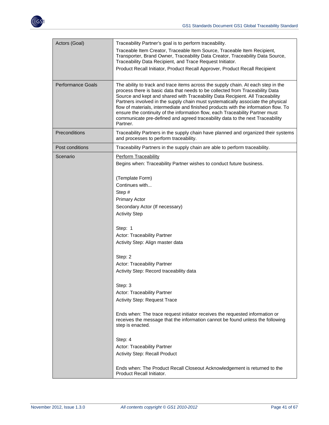

| Actors (Goal)            | Traceability Partner's goal is to perform traceability.                                                                                                                                                                                                                                                                                                                                                                                                                                                                                                                                                      |
|--------------------------|--------------------------------------------------------------------------------------------------------------------------------------------------------------------------------------------------------------------------------------------------------------------------------------------------------------------------------------------------------------------------------------------------------------------------------------------------------------------------------------------------------------------------------------------------------------------------------------------------------------|
|                          | Traceable Item Creator, Traceable Item Source, Traceable Item Recipient,<br>Transporter, Brand Owner, Traceability Data Creator, Traceability Data Source,<br>Traceability Data Recipient, and Trace Request Initiator.                                                                                                                                                                                                                                                                                                                                                                                      |
|                          | Product Recall Initiator, Product Recall Approver, Product Recall Recipient                                                                                                                                                                                                                                                                                                                                                                                                                                                                                                                                  |
| <b>Performance Goals</b> | The ability to track and trace items across the supply chain. At each step in the<br>process there is basic data that needs to be collected from Traceability Data<br>Source and kept and shared with Traceability Data Recipient. All Traceability<br>Partners involved in the supply chain must systematically associate the physical<br>flow of materials, intermediate and finished products with the information flow. To<br>ensure the continuity of the information flow, each Traceability Partner must<br>communicate pre-defined and agreed traceability data to the next Traceability<br>Partner. |
| Preconditions            | Traceability Partners in the supply chain have planned and organized their systems<br>and processes to perform traceability.                                                                                                                                                                                                                                                                                                                                                                                                                                                                                 |
| Post conditions          | Traceability Partners in the supply chain are able to perform traceability.                                                                                                                                                                                                                                                                                                                                                                                                                                                                                                                                  |
| Scenario                 | Perform Traceability                                                                                                                                                                                                                                                                                                                                                                                                                                                                                                                                                                                         |
|                          | Begins when: Traceability Partner wishes to conduct future business.                                                                                                                                                                                                                                                                                                                                                                                                                                                                                                                                         |
|                          | (Template Form)                                                                                                                                                                                                                                                                                                                                                                                                                                                                                                                                                                                              |
|                          | Continues with                                                                                                                                                                                                                                                                                                                                                                                                                                                                                                                                                                                               |
|                          | Step #                                                                                                                                                                                                                                                                                                                                                                                                                                                                                                                                                                                                       |
|                          | <b>Primary Actor</b>                                                                                                                                                                                                                                                                                                                                                                                                                                                                                                                                                                                         |
|                          | Secondary Actor (If necessary)                                                                                                                                                                                                                                                                                                                                                                                                                                                                                                                                                                               |
|                          | <b>Activity Step</b>                                                                                                                                                                                                                                                                                                                                                                                                                                                                                                                                                                                         |
|                          | Step: 1                                                                                                                                                                                                                                                                                                                                                                                                                                                                                                                                                                                                      |
|                          | Actor: Traceability Partner                                                                                                                                                                                                                                                                                                                                                                                                                                                                                                                                                                                  |
|                          | Activity Step: Align master data                                                                                                                                                                                                                                                                                                                                                                                                                                                                                                                                                                             |
|                          | Step: 2                                                                                                                                                                                                                                                                                                                                                                                                                                                                                                                                                                                                      |
|                          | Actor: Traceability Partner                                                                                                                                                                                                                                                                                                                                                                                                                                                                                                                                                                                  |
|                          | Activity Step: Record traceability data                                                                                                                                                                                                                                                                                                                                                                                                                                                                                                                                                                      |
|                          | Step: 3                                                                                                                                                                                                                                                                                                                                                                                                                                                                                                                                                                                                      |
|                          | Actor: Traceability Partner                                                                                                                                                                                                                                                                                                                                                                                                                                                                                                                                                                                  |
|                          | Activity Step: Request Trace                                                                                                                                                                                                                                                                                                                                                                                                                                                                                                                                                                                 |
|                          | Ends when: The trace request initiator receives the requested information or<br>receives the message that the information cannot be found unless the following<br>step is enacted.                                                                                                                                                                                                                                                                                                                                                                                                                           |
|                          | Step: 4                                                                                                                                                                                                                                                                                                                                                                                                                                                                                                                                                                                                      |
|                          | Actor: Traceability Partner                                                                                                                                                                                                                                                                                                                                                                                                                                                                                                                                                                                  |
|                          | <b>Activity Step: Recall Product</b>                                                                                                                                                                                                                                                                                                                                                                                                                                                                                                                                                                         |
|                          | Ends when: The Product Recall Closeout Acknowledgement is returned to the<br>Product Recall Initiator.                                                                                                                                                                                                                                                                                                                                                                                                                                                                                                       |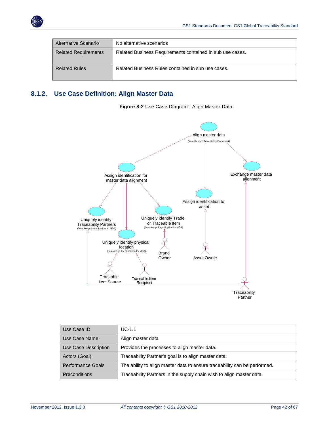

| Alternative Scenario        | No alternative scenarios                                  |
|-----------------------------|-----------------------------------------------------------|
| <b>Related Requirements</b> | Related Business Requirements contained in sub use cases. |
| <b>Related Rules</b>        | Related Business Rules contained in sub use cases.        |

### <span id="page-41-0"></span>**8.1.2. Use Case Definition: Align Master Data**



**Figure 8-2** Use Case Diagram: Align Master Data

| Use Case ID                                                                                  | $UC-1.1$                                                                  |
|----------------------------------------------------------------------------------------------|---------------------------------------------------------------------------|
| Use Case Name                                                                                | Align master data                                                         |
| Use Case Description                                                                         | Provides the processes to align master data.                              |
| Traceability Partner's goal is to align master data.<br>Actors (Goal)                        |                                                                           |
| <b>Performance Goals</b>                                                                     | The ability to align master data to ensure traceability can be performed. |
| Traceability Partners in the supply chain wish to align master data.<br><b>Preconditions</b> |                                                                           |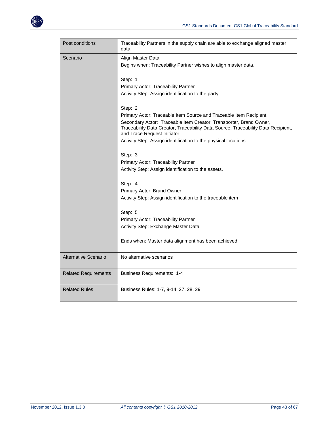

| Post conditions             | Traceability Partners in the supply chain are able to exchange aligned master<br>data.                                                                                                 |
|-----------------------------|----------------------------------------------------------------------------------------------------------------------------------------------------------------------------------------|
| Scenario                    | Align Master Data                                                                                                                                                                      |
|                             | Begins when: Traceability Partner wishes to align master data.                                                                                                                         |
|                             | Step: 1                                                                                                                                                                                |
|                             | Primary Actor: Traceability Partner                                                                                                                                                    |
|                             | Activity Step: Assign identification to the party.                                                                                                                                     |
|                             | Step: 2                                                                                                                                                                                |
|                             | Primary Actor: Traceable Item Source and Traceable Item Recipient.                                                                                                                     |
|                             | Secondary Actor: Traceable Item Creator, Transporter, Brand Owner,<br>Traceability Data Creator, Traceability Data Source, Traceability Data Recipient,<br>and Trace Request Initiator |
|                             | Activity Step: Assign identification to the physical locations.                                                                                                                        |
|                             | Step: 3                                                                                                                                                                                |
|                             | Primary Actor: Traceability Partner                                                                                                                                                    |
|                             | Activity Step: Assign identification to the assets.                                                                                                                                    |
|                             | Step: 4                                                                                                                                                                                |
|                             | Primary Actor: Brand Owner                                                                                                                                                             |
|                             | Activity Step: Assign identification to the traceable item                                                                                                                             |
|                             | Step: 5                                                                                                                                                                                |
|                             | Primary Actor: Traceability Partner                                                                                                                                                    |
|                             | Activity Step: Exchange Master Data                                                                                                                                                    |
|                             | Ends when: Master data alignment has been achieved.                                                                                                                                    |
| Alternative Scenario        | No alternative scenarios                                                                                                                                                               |
| <b>Related Requirements</b> | <b>Business Requirements: 1-4</b>                                                                                                                                                      |
| <b>Related Rules</b>        | Business Rules: 1-7, 9-14, 27, 28, 29                                                                                                                                                  |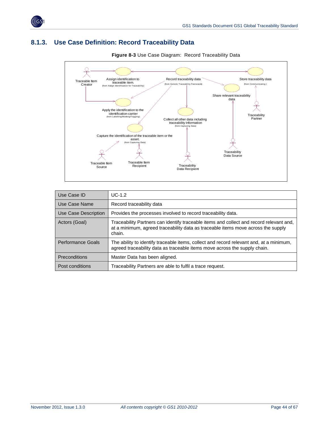

### <span id="page-43-0"></span>**8.1.3. Use Case Definition: Record Traceability Data**



**Figure 8-3** Use Case Diagram: Record Traceability Data

| Use Case ID              | $UC-1.2$                                                                                                                                                                              |
|--------------------------|---------------------------------------------------------------------------------------------------------------------------------------------------------------------------------------|
| Use Case Name            | Record traceability data                                                                                                                                                              |
| Use Case Description     | Provides the processes involved to record traceability data.                                                                                                                          |
| Actors (Goal)            | Traceability Partners can identify traceable items and collect and record relevant and,<br>at a minimum, agreed traceability data as traceable items move across the supply<br>chain. |
| <b>Performance Goals</b> | The ability to identify traceable items, collect and record relevant and, at a minimum,<br>agreed traceability data as traceable items move across the supply chain.                  |
| <b>Preconditions</b>     | Master Data has been aligned.                                                                                                                                                         |
| Post conditions          | Traceability Partners are able to fulfil a trace request.                                                                                                                             |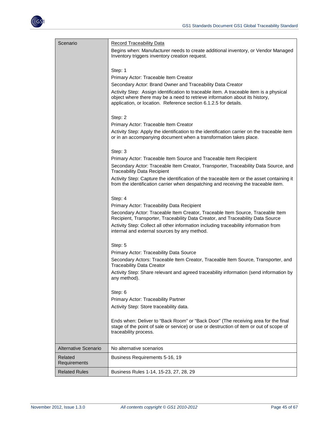

| Scenario                | <b>Record Traceability Data</b><br>Begins when: Manufacturer needs to create additional inventory, or Vendor Managed<br>Inventory triggers inventory creation request.<br>Step: 1<br>Primary Actor: Traceable Item Creator<br>Secondary Actor: Brand Owner and Traceability Data Creator<br>Activity Step: Assign identification to traceable item. A traceable item is a physical<br>object where there may be a need to retrieve information about its history,<br>application, or location. Reference section 6.1.2.5 for details.<br>Step: 2<br>Primary Actor: Traceable Item Creator<br>Activity Step: Apply the identification to the identification carrier on the traceable item<br>or in an accompanying document when a transformation takes place.<br>Step: 3<br>Primary Actor: Traceable Item Source and Traceable Item Recipient<br>Secondary Actor: Traceable Item Creator, Transporter, Traceability Data Source, and<br><b>Traceability Data Recipient</b><br>Activity Step: Capture the identification of the traceable item or the asset containing it<br>from the identification carrier when despatching and receiving the traceable item.<br>Step: 4<br>Primary Actor: Traceability Data Recipient<br>Secondary Actor: Traceable Item Creator, Traceable Item Source, Traceable Item<br>Recipient, Transporter, Traceability Data Creator, and Traceability Data Source<br>Activity Step: Collect all other information including traceability information from<br>internal and external sources by any method.<br>Step: 5<br><b>Primary Actor: Traceability Data Source</b><br>Secondary Actors: Traceable Item Creator, Traceable Item Source, Transporter, and<br><b>Traceability Data Creator</b><br>Activity Step: Share relevant and agreed traceability information (send information by<br>any method).<br>Step: 6<br>Primary Actor: Traceability Partner<br>Activity Step: Store traceability data. |
|-------------------------|-----------------------------------------------------------------------------------------------------------------------------------------------------------------------------------------------------------------------------------------------------------------------------------------------------------------------------------------------------------------------------------------------------------------------------------------------------------------------------------------------------------------------------------------------------------------------------------------------------------------------------------------------------------------------------------------------------------------------------------------------------------------------------------------------------------------------------------------------------------------------------------------------------------------------------------------------------------------------------------------------------------------------------------------------------------------------------------------------------------------------------------------------------------------------------------------------------------------------------------------------------------------------------------------------------------------------------------------------------------------------------------------------------------------------------------------------------------------------------------------------------------------------------------------------------------------------------------------------------------------------------------------------------------------------------------------------------------------------------------------------------------------------------------------------------------------------------------------------------------------------------------------------------------------------------------|
|                         | Ends when: Deliver to "Back Room" or "Back Door" (The receiving area for the final<br>stage of the point of sale or service) or use or destruction of item or out of scope of<br>traceability process.                                                                                                                                                                                                                                                                                                                                                                                                                                                                                                                                                                                                                                                                                                                                                                                                                                                                                                                                                                                                                                                                                                                                                                                                                                                                                                                                                                                                                                                                                                                                                                                                                                                                                                                            |
| Alternative Scenario    | No alternative scenarios                                                                                                                                                                                                                                                                                                                                                                                                                                                                                                                                                                                                                                                                                                                                                                                                                                                                                                                                                                                                                                                                                                                                                                                                                                                                                                                                                                                                                                                                                                                                                                                                                                                                                                                                                                                                                                                                                                          |
| Related<br>Requirements | Business Requirements 5-16, 19                                                                                                                                                                                                                                                                                                                                                                                                                                                                                                                                                                                                                                                                                                                                                                                                                                                                                                                                                                                                                                                                                                                                                                                                                                                                                                                                                                                                                                                                                                                                                                                                                                                                                                                                                                                                                                                                                                    |
| <b>Related Rules</b>    | Business Rules 1-14, 15-23, 27, 28, 29                                                                                                                                                                                                                                                                                                                                                                                                                                                                                                                                                                                                                                                                                                                                                                                                                                                                                                                                                                                                                                                                                                                                                                                                                                                                                                                                                                                                                                                                                                                                                                                                                                                                                                                                                                                                                                                                                            |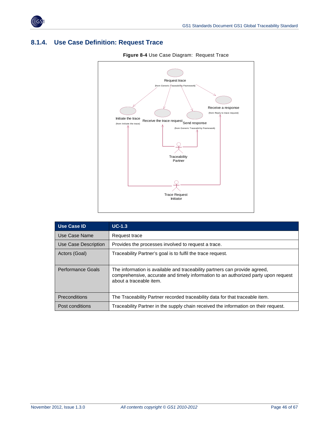

### <span id="page-45-0"></span>**8.1.4. Use Case Definition: Request Trace**



| <b>Figure 8-4 Use Case Diagram: Request Trace</b> |  |
|---------------------------------------------------|--|
|                                                   |  |

| <b>Use Case ID</b>   | $UC-1.3$                                                                                                                                                                                    |
|----------------------|---------------------------------------------------------------------------------------------------------------------------------------------------------------------------------------------|
| Use Case Name        | Request trace                                                                                                                                                                               |
| Use Case Description | Provides the processes involved to request a trace.                                                                                                                                         |
| Actors (Goal)        | Traceability Partner's goal is to fulfil the trace request.                                                                                                                                 |
| Performance Goals    | The information is available and traceability partners can provide agreed,<br>comprehensive, accurate and timely information to an authorized party upon request<br>about a traceable item. |
| <b>Preconditions</b> | The Traceability Partner recorded traceability data for that traceable item.                                                                                                                |
| Post conditions      | Traceability Partner in the supply chain received the information on their request.                                                                                                         |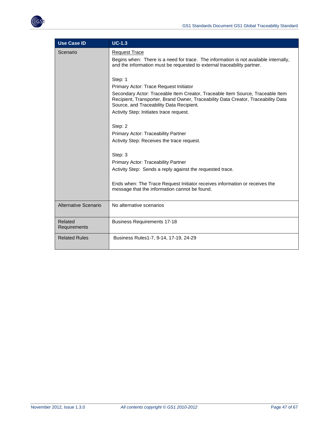

| <b>Use Case ID</b>      | $UC-1.3$                                                                                                                                                                                                                                                                                                        |
|-------------------------|-----------------------------------------------------------------------------------------------------------------------------------------------------------------------------------------------------------------------------------------------------------------------------------------------------------------|
| Scenario                | <b>Request Trace</b><br>Begins when: There is a need for trace. The information is not available internally,<br>and the information must be requested to external traceability partner.                                                                                                                         |
|                         | Step: 1<br>Primary Actor: Trace Request Initiator<br>Secondary Actor: Traceable Item Creator, Traceable Item Source, Traceable Item<br>Recipient, Transporter, Brand Owner, Traceability Data Creator, Traceability Data<br>Source, and Traceability Data Recipient.<br>Activity Step: Initiates trace request. |
|                         | Step: 2<br>Primary Actor: Traceability Partner<br>Activity Step: Receives the trace request.                                                                                                                                                                                                                    |
|                         | Step: 3<br>Primary Actor: Traceability Partner<br>Activity Step: Sends a reply against the requested trace.                                                                                                                                                                                                     |
|                         | Ends when: The Trace Request Initiator receives information or receives the<br>message that the information cannot be found.                                                                                                                                                                                    |
| Alternative Scenario    | No alternative scenarios                                                                                                                                                                                                                                                                                        |
| Related<br>Requirements | <b>Business Requirements 17-18</b>                                                                                                                                                                                                                                                                              |
| <b>Related Rules</b>    | Business Rules1-7, 9-14, 17-19, 24-29                                                                                                                                                                                                                                                                           |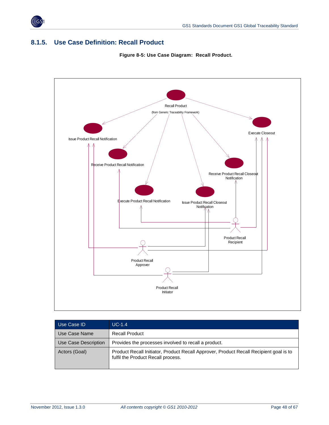

### <span id="page-47-0"></span>**8.1.5. Use Case Definition: Recall Product**





| Use Case ID          | $UC-1.4$                                                                                                                     |
|----------------------|------------------------------------------------------------------------------------------------------------------------------|
| Use Case Name        | <b>Recall Product</b>                                                                                                        |
| Use Case Description | Provides the processes involved to recall a product.                                                                         |
| Actors (Goal)        | Product Recall Initiator, Product Recall Approver, Product Recall Recipient goal is to<br>fulfil the Product Recall process. |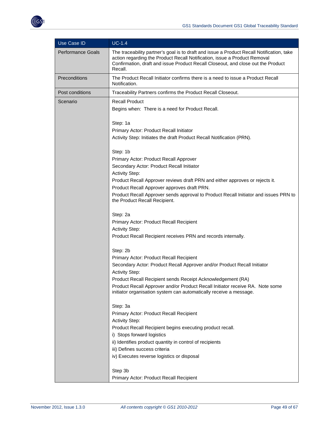

| Use Case ID       | $UC-1.4$                                                                                                                                                                                                                                                              |
|-------------------|-----------------------------------------------------------------------------------------------------------------------------------------------------------------------------------------------------------------------------------------------------------------------|
| Performance Goals | The traceability partner's goal is to draft and issue a Product Recall Notification, take<br>action regarding the Product Recall Notification, issue a Product Removal<br>Confirmation, draft and issue Product Recall Closeout, and close out the Product<br>Recall. |
| Preconditions     | The Product Recall Initiator confirms there is a need to issue a Product Recall<br>Notification.                                                                                                                                                                      |
| Post conditions   | Traceability Partners confirms the Product Recall Closeout.                                                                                                                                                                                                           |
| Scenario          | <b>Recall Product</b><br>Begins when: There is a need for Product Recall.                                                                                                                                                                                             |
|                   | Step: 1a                                                                                                                                                                                                                                                              |
|                   | Primary Actor: Product Recall Initiator                                                                                                                                                                                                                               |
|                   | Activity Step: Initiates the draft Product Recall Notification (PRN).                                                                                                                                                                                                 |
|                   | Step: 1b                                                                                                                                                                                                                                                              |
|                   | Primary Actor: Product Recall Approver                                                                                                                                                                                                                                |
|                   | Secondary Actor: Product Recall Initiator                                                                                                                                                                                                                             |
|                   | <b>Activity Step:</b>                                                                                                                                                                                                                                                 |
|                   | Product Recall Approver reviews draft PRN and either approves or rejects it.                                                                                                                                                                                          |
|                   | Product Recall Approver approves draft PRN.                                                                                                                                                                                                                           |
|                   | Product Recall Approver sends approval to Product Recall Initiator and issues PRN to<br>the Product Recall Recipient.                                                                                                                                                 |
|                   | Step: 2a                                                                                                                                                                                                                                                              |
|                   | Primary Actor: Product Recall Recipient                                                                                                                                                                                                                               |
|                   | <b>Activity Step:</b>                                                                                                                                                                                                                                                 |
|                   | Product Recall Recipient receives PRN and records internally.                                                                                                                                                                                                         |
|                   | Step: 2b                                                                                                                                                                                                                                                              |
|                   | Primary Actor: Product Recall Recipient                                                                                                                                                                                                                               |
|                   | Secondary Actor: Product Recall Approver and/or Product Recall Initiator                                                                                                                                                                                              |
|                   | <b>Activity Step:</b>                                                                                                                                                                                                                                                 |
|                   | Product Recall Recipient sends Receipt Acknowledgement (RA)                                                                                                                                                                                                           |
|                   | Product Recall Approver and/or Product Recall Initiator receive RA. Note some<br>initiator organisation system can automatically receive a message.                                                                                                                   |
|                   | Step: 3a                                                                                                                                                                                                                                                              |
|                   | Primary Actor: Product Recall Recipient                                                                                                                                                                                                                               |
|                   | <b>Activity Step:</b>                                                                                                                                                                                                                                                 |
|                   | Product Recall Recipient begins executing product recall.                                                                                                                                                                                                             |
|                   | i) Stops forward logistics                                                                                                                                                                                                                                            |
|                   | ii) Identifies product quantity in control of recipients                                                                                                                                                                                                              |
|                   | iii) Defines success criteria<br>iv) Executes reverse logistics or disposal                                                                                                                                                                                           |
|                   |                                                                                                                                                                                                                                                                       |
|                   | Step 3b                                                                                                                                                                                                                                                               |
|                   | Primary Actor: Product Recall Recipient                                                                                                                                                                                                                               |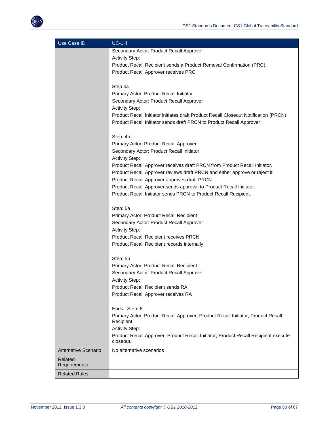| Use Case ID                 | $UC-1.4$                                                                              |
|-----------------------------|---------------------------------------------------------------------------------------|
|                             | Secondary Actor: Product Recall Approver                                              |
|                             | <b>Activity Step:</b>                                                                 |
|                             | Product Recall Recipient sends a Product Removal Confirmation (PRC).                  |
|                             | Product Recall Approver receives PRC.                                                 |
|                             |                                                                                       |
|                             | Step 4a                                                                               |
|                             | Primary Actor: Product Recall Initiator                                               |
|                             | Secondary Actor: Product Recall Approver                                              |
|                             | <b>Activity Step:</b>                                                                 |
|                             | Product Recall Initiator initiates draft Product Recall Closeout Notification (PRCN). |
|                             | Product Recall Initiator sends draft PRCN to Product Recall Approver                  |
|                             | Step: 4b                                                                              |
|                             | Primary Actor: Product Recall Approver                                                |
|                             | Secondary Actor: Product Recall Initiator                                             |
|                             | <b>Activity Step:</b>                                                                 |
|                             | Product Recall Approver receives draft PRCN from Product Recall Initiator.            |
|                             | Product Recall Approver reviews draft PRCN and either approve or reject it.           |
|                             | Product Recall Approver approves draft PRCN.                                          |
|                             | Product Recall Approver sends approval to Product Recall Initiator.                   |
|                             | Product Recall Initiator sends PRCN to Product Recall Recipient.                      |
|                             |                                                                                       |
|                             | Step: 5a                                                                              |
|                             | Primary Actor: Product Recall Recipient                                               |
|                             | Secondary Actor: Product Recall Approver                                              |
|                             | <b>Activity Step:</b>                                                                 |
|                             | Product Recall Recipient receives PRCN                                                |
|                             | Product Recall Recipient records internally                                           |
|                             |                                                                                       |
|                             | Step: 5b                                                                              |
|                             | Primary Actor: Product Recall Recipient                                               |
|                             | Secondary Actor: Product Recall Approver                                              |
|                             | <b>Activity Step:</b>                                                                 |
|                             | Product Recall Recipient sends RA                                                     |
|                             | Product Recall Approver receives RA                                                   |
|                             | Ends: Step: 6                                                                         |
|                             | Primary Actor: Product Recall Approver, Product Recall Initiator, Product Recall      |
|                             | Recipient                                                                             |
|                             | <b>Activity Step:</b>                                                                 |
|                             | Product Recall Approver, Product Recall Initiator, Product Recall Recipient execute   |
|                             | closeout.                                                                             |
| <b>Alternative Scenario</b> | No alternative scenarios                                                              |
| Related                     |                                                                                       |
| Requirements                |                                                                                       |
| <b>Related Rules</b>        |                                                                                       |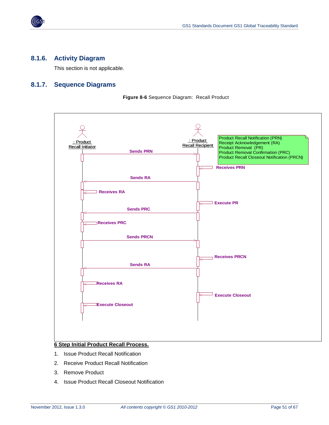

#### <span id="page-50-0"></span>**8.1.6. Activity Diagram**

This section is not applicable.

#### <span id="page-50-1"></span>**8.1.7. Sequence Diagrams**

**Figure 8-6** Sequence Diagram: Recall Product



#### **6 Step Initial Product Recall Process.**

- 1. Issue Product Recall Notification
- 2. Receive Product Recall Notification
- 3. Remove Product
- 4. Issue Product Recall Closeout Notification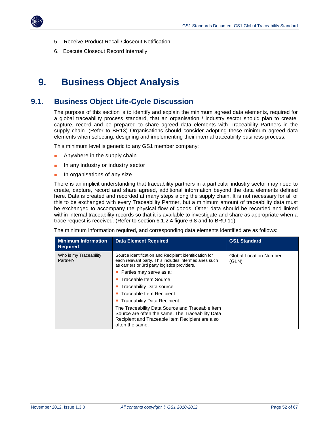

- 5. Receive Product Recall Closeout Notification
- 6. Execute Closeout Record Internally

## <span id="page-51-0"></span>**9. Business Object Analysis**

### <span id="page-51-1"></span>**9.1. Business Object Life-Cycle Discussion**

The purpose of this section is to identify and explain the minimum agreed data elements, required for a global traceability process standard, that an organisation / industry sector should plan to create, capture, record and be prepared to share agreed data elements with Traceability Partners in the supply chain. (Refer to BR13) Organisations should consider adopting these minimum agreed data elements when selecting, designing and implementing their internal traceability business process.

This minimum level is generic to any GS1 member company:

- Anywhere in the supply chain
- In any industry or industry sector
- In organisations of any size

There is an implicit understanding that traceability partners in a particular industry sector may need to create, capture, record and share agreed, additional information beyond the data elements defined here. Data is created and recorded at many steps along the supply chain. It is not necessary for all of this to be exchanged with every Traceability Partner, but a minimum amount of traceability data must be exchanged to accompany the physical flow of goods. Other data should be recorded and linked within internal traceability records so that it is available to investigate and share as appropriate when a trace request is received. (Refer to section 6.1.2.4 figure 6.8 and to BRU 11)

The minimum information required, and corresponding data elements identified are as follows:

| <b>Minimum Information</b><br><b>Required</b> | <b>Data Element Required</b>                                                                                                                                              | <b>GS1 Standard</b>                    |
|-----------------------------------------------|---------------------------------------------------------------------------------------------------------------------------------------------------------------------------|----------------------------------------|
| Who is my Traceability<br>Partner?            | Source identification and Recipient identification for<br>each relevant party. This includes intermediaries such<br>as carriers or 3rd party logistics providers.         | <b>Global Location Number</b><br>(GLN) |
|                                               | Parties may serve as a:                                                                                                                                                   |                                        |
|                                               | Traceable Item Source                                                                                                                                                     |                                        |
|                                               | Traceability Data source                                                                                                                                                  |                                        |
|                                               | Traceable Item Recipient                                                                                                                                                  |                                        |
|                                               | <b>Traceability Data Recipient</b>                                                                                                                                        |                                        |
|                                               | The Traceability Data Source and Traceable Item<br>Source are often the same. The Traceability Data<br>Recipient and Traceable Item Recipient are also<br>often the same. |                                        |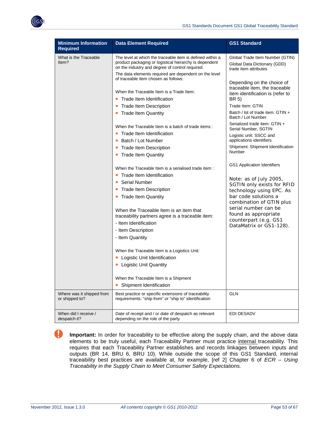

| <b>Minimum Information</b><br><b>Required</b> | <b>Data Element Required</b>                                                                                                                                                                                                                                                                                                                                                                                                                                                                                                                                       | <b>GS1 Standard</b>                                                                                                                                                                                                                                                                                                                                    |
|-----------------------------------------------|--------------------------------------------------------------------------------------------------------------------------------------------------------------------------------------------------------------------------------------------------------------------------------------------------------------------------------------------------------------------------------------------------------------------------------------------------------------------------------------------------------------------------------------------------------------------|--------------------------------------------------------------------------------------------------------------------------------------------------------------------------------------------------------------------------------------------------------------------------------------------------------------------------------------------------------|
| What is the Traceable<br>ltem?                | The level at which the traceable item is defined within a<br>product packaging or logistical hierarchy is dependent<br>on the industry and degree of control required.                                                                                                                                                                                                                                                                                                                                                                                             | Global Trade Item Number (GTIN)<br>Global Data Dictionary (GDD)<br>trade item attributes                                                                                                                                                                                                                                                               |
|                                               | The data elements required are dependent on the level<br>of traceable item chosen as follows:<br>When the Traceable Item is a Trade Item:<br>Trade Item Identification<br>$\mathcal{L}_{\mathcal{A}}$<br><b>Trade Item Description</b><br><b>Trade Item Quantity</b><br>ш<br>When the Traceable Item is a batch of trade items:<br>Trade Item Identification<br>Batch / Lot Number<br>o.<br><b>Trade Item Description</b>                                                                                                                                          | Depending on the choice of<br>traceable item, the traceable<br>item identification is (refer to<br>BR 5)<br>Trade Item: GTIN<br>Batch / lot of trade item: GTIN +<br>Batch / Lot Number<br>Serialized trade item: GTIN +<br>Serial Number, SGTIN<br>Logistic unit: SSCC and<br>applications identifiers<br>Shipment: Shipment Identification<br>Number |
|                                               | <b>Trade Item Quantity</b><br>ш<br>When the Traceable Item is a serialised trade item :<br>Trade Item Identification<br><b>Serial Number</b><br>o.<br><b>Trade Item Description</b><br>• Trade Item Quantity<br>When the Traceable Item is an item that<br>traceability partners agree is a traceable item:<br>- Item Identification<br>- Item Description<br>- Item Quantity<br>When the Traceable Item is a Logistics Unit:<br>Logistic Unit Identification<br><b>Logistic Unit Quantity</b><br>When the Traceable Item is a Shipment<br>Shipment Identification | GS1 Application Identifiers<br>Note: as of July 2005,<br>SGTIN only exists for RFID<br>technology using EPC. As<br>bar code solutions a<br>combination of GTIN plus<br>serial number can be<br>found as appropriate<br>counterpart (e.g. GS1<br>DataMatrix or GS1-128).                                                                                |
| Where was it shipped from<br>or shipped to?   | Best practice or specific extensions of traceability<br>requirements: "ship from" or "ship to" identification                                                                                                                                                                                                                                                                                                                                                                                                                                                      | <b>GLN</b>                                                                                                                                                                                                                                                                                                                                             |
| When did I receive /<br>despatch it?          | Date of receipt and / or date of despatch as relevant<br>depending on the role of the party                                                                                                                                                                                                                                                                                                                                                                                                                                                                        | EDI DESADV                                                                                                                                                                                                                                                                                                                                             |

**Important:** In order for traceability to be effective along the supply chain, and the above data elements to be truly useful, each Traceability Partner must practice internal traceability. This requires that each Traceability Partner establishes and records linkages between inputs and outputs (BR 14, BRU 6, BRU 10). While outside the scope of this GS1 Standard, internal traceability best practices are available at, for example, [ref 2] Chapter 6 of *ECR – Using Traceability in the Supply Chain to Meet Consumer Safety Expectations.*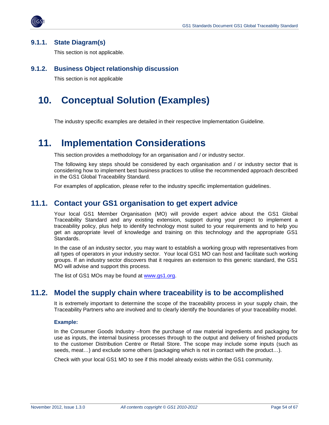

#### <span id="page-53-0"></span>**9.1.1. State Diagram(s)**

This section is not applicable.

#### <span id="page-53-1"></span>**9.1.2. Business Object relationship discussion**

This section is not applicable

## <span id="page-53-2"></span>**10. Conceptual Solution (Examples)**

The industry specific examples are detailed in their respective Implementation Guideline.

## <span id="page-53-3"></span>**11. Implementation Considerations**

This section provides a methodology for an organisation and / or industry sector.

The following key steps should be considered by each organisation and / or industry sector that is considering how to implement best business practices to utilise the recommended approach described in the GS1 Global Traceability Standard.

For examples of application, please refer to the industry specific implementation guidelines.

### <span id="page-53-4"></span>**11.1. Contact your GS1 organisation to get expert advice**

Your local GS1 Member Organisation (MO) will provide expert advice about the GS1 Global Traceability Standard and any existing extension, support during your project to implement a traceability policy, plus help to identify technology most suited to your requirements and to help you get an appropriate level of knowledge and training on this technology and the appropriate GS1 Standards.

In the case of an industry sector, you may want to establish a working group with representatives from all types of operators in your industry sector. Your local GS1 MO can host and facilitate such working groups. If an industry sector discovers that it requires an extension to this generic standard, the GS1 MO will advise and support this process.

The list of GS1 MOs may be found at [www.gs1.org.](http://www.gs1.org/)

### <span id="page-53-5"></span>**11.2. Model the supply chain where traceability is to be accomplished**

It is extremely important to determine the scope of the traceability process in your supply chain, the Traceability Partners who are involved and to clearly identify the boundaries of your traceability model.

#### **Example:**

In the Consumer Goods Industry –from the purchase of raw material ingredients and packaging for use as inputs, the internal business processes through to the output and delivery of finished products to the customer Distribution Centre or Retail Store. The scope may include some inputs (such as seeds, meat…) and exclude some others (packaging which is not in contact with the product…).

Check with your local GS1 MO to see if this model already exists within the GS1 community.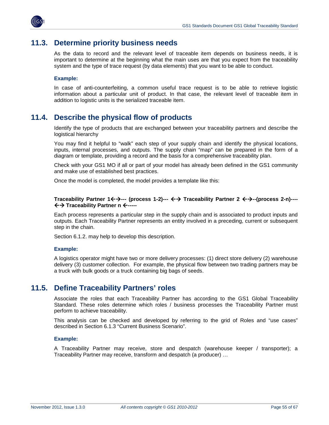

### <span id="page-54-0"></span>**11.3. Determine priority business needs**

As the data to record and the relevant level of traceable item depends on business needs, it is important to determine at the beginning what the main uses are that you expect from the traceability system and the type of trace request (by data elements) that you want to be able to conduct.

#### **Example:**

In case of anti-counterfeiting, a common useful trace request is to be able to retrieve logistic information about a particular unit of product. In that case, the relevant level of traceable item in addition to logistic units is the serialized traceable item.

### <span id="page-54-1"></span>**11.4. Describe the physical flow of products**

Identify the type of products that are exchanged between your traceability partners and describe the logistical hierarchy

You may find it helpful to "walk" each step of your supply chain and identify the physical locations, inputs, internal processes, and outputs. The supply chain "map" can be prepared in the form of a diagram or template, providing a record and the basis for a comprehensive traceability plan.

Check with your GS1 MO if all or part of your model has already been defined in the GS1 community and make use of established best practices.

Once the model is completed, the model provides a template like this:

#### **Traceability Partner 1←** $\rightarrow$ **--- (process 1-2)--- ←** $\rightarrow$  **Traceability Partner 2 ←** $\rightarrow$ **--(process 2-n)----** $\leftrightarrow$  **Traceability Partner n**  $\leftarrow$ **-----**

Each process represents a particular step in the supply chain and is associated to product inputs and outputs. Each Traceability Partner represents an entity involved in a preceding, current or subsequent step in the chain.

Section 6.1.2. may help to develop this description.

#### **Example:**

A logistics operator might have two or more delivery processes: (1) direct store delivery (2) warehouse delivery (3) customer collection. For example, the physical flow between two trading partners may be a truck with bulk goods or a truck containing big bags of seeds.

### <span id="page-54-2"></span>**11.5. Define Traceability Partners' roles**

Associate the roles that each Traceability Partner has according to the GS1 Global Traceability Standard. These roles determine which roles / business processes the Traceability Partner must perform to achieve traceability.

This analysis can be checked and developed by referring to the grid of Roles and "use cases" described in Section 6.1.3 "Current Business Scenario".

#### **Example:**

A Traceability Partner may receive, store and despatch (warehouse keeper / transporter); a Traceability Partner may receive, transform and despatch (a producer) …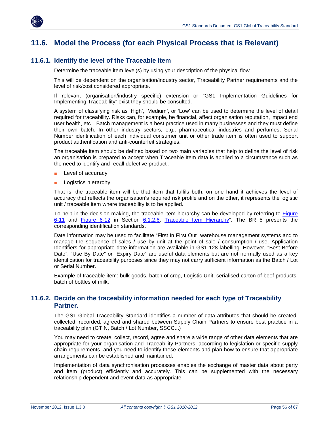

### <span id="page-55-0"></span>**11.6. Model the Process (for each Physical Process that is Relevant)**

#### <span id="page-55-1"></span>**11.6.1. Identify the level of the Traceable Item**

Determine the traceable item level(s) by using your description of the physical flow.

This will be dependent on the organisation/industry sector, Traceability Partner requirements and the level of risk/cost considered appropriate.

If relevant (organisation/industry specific) extension or "GS1 Implementation Guidelines for Implementing Traceability" exist they should be consulted.

A system of classifying risk as 'High', 'Medium', or 'Low' can be used to determine the level of detail required for traceability. Risks can, for example, be financial, affect organisation reputation, impact end user health, etc…Batch management is a best practice used in many businesses and they must define their own batch. In other industry sectors, e.g., pharmaceutical industries and perfumes, Serial Number identification of each individual consumer unit or other trade item is often used to support product authentication and anti-counterfeit strategies.

The traceable item should be defined based on two main variables that help to define the level of risk an organisation is prepared to accept when Traceable Item data is applied to a circumstance such as the need to identify and recall defective product :

- Level of accuracy
- Logistics hierarchy

That is, the traceable item will be that item that fulfils both: on one hand it achieves the level of accuracy that reflects the organisation's required risk profile and on the other, it represents the logistic unit / traceable item where traceability is to be applied.

To help in the decision-making, the traceable item hierarchy can be developed by referring to [Figure](#page-23-0)  [6-11](#page-23-0) and [Figure 6-12](#page-25-0) in Section [6.1.2.6,](#page-23-1) [Traceable Item Hierarchy"](#page-23-1). The BR 5 presents the corresponding identification standards.

Date information may be used to facilitate "First In First Out" warehouse management systems and to manage the sequence of sales / use by unit at the point of sale / consumption / use. Application Identifiers for appropriate date information are available in GS1-128 labelling. However, "Best Before Date", "Use By Date" or "Expiry Date" are useful data elements but are not normally used as a key identification for traceability purposes since they may not carry sufficient information as the Batch / Lot or Serial Number.

Example of traceable item: bulk goods, batch of crop, Logistic Unit, serialised carton of beef products, batch of bottles of milk.

#### <span id="page-55-2"></span>**11.6.2. Decide on the traceability information needed for each type of Traceability Partner.**

The GS1 Global Traceability Standard identifies a number of data attributes that should be created, collected, recorded, agreed and shared between Supply Chain Partners to ensure best practice in a traceability plan (GTIN, Batch / Lot Number, SSCC...)

You may need to create, collect, record, agree and share a wide range of other data elements that are appropriate for your organisation and Traceability Partners, according to legislation or specific supply chain requirements, and you need to identify these elements and plan how to ensure that appropriate arrangements can be established and maintained.

Implementation of data synchronisation processes enables the exchange of master data about party and item (product) efficiently and accurately. This can be supplemented with the necessary relationship dependent and event data as appropriate.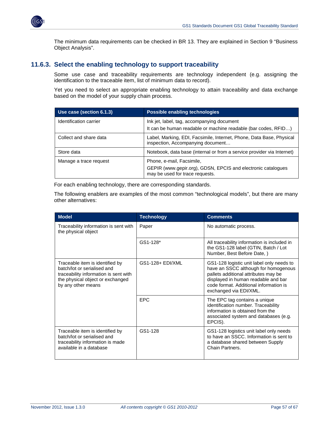

The minimum data requirements can be checked in BR 13. They are explained in Section 9 "Business Object Analysis".

#### <span id="page-56-0"></span>**11.6.3. Select the enabling technology to support traceability**

Some use case and traceability requirements are technology independent (e.g. assigning the identification to the traceable item, list of minimum data to record).

Yet you need to select an appropriate enabling technology to attain traceability and data exchange based on the model of your supply chain process.

| Use case (section 6.1.3) | Possible enabling technologies                                                                                               |
|--------------------------|------------------------------------------------------------------------------------------------------------------------------|
| Identification carrier   | Ink jet, label, tag, accompanying document<br>It can be human readable or machine readable (bar codes, RFID)                 |
| Collect and share data   | Label, Marking, EDI, Facsimile, Internet, Phone, Data Base, Physical<br>inspection, Accompanying document                    |
| Store data               | Notebook, data base (internal or from a service provider via Internet)                                                       |
| Manage a trace request   | Phone, e-mail, Facsimile,<br>GEPIR (www.gepir.org), GDSN, EPCIS and electronic catalogues<br>may be used for trace requests. |

For each enabling technology, there are corresponding standards.

The following enablers are examples of the most common "technological models", but there are many other alternatives:

| <b>Model</b>                                                                                                                                                      | <b>Technology</b> | <b>Comments</b>                                                                                                                                                                                                                      |
|-------------------------------------------------------------------------------------------------------------------------------------------------------------------|-------------------|--------------------------------------------------------------------------------------------------------------------------------------------------------------------------------------------------------------------------------------|
| Traceability information is sent with<br>the physical object                                                                                                      | Paper             | No automatic process.                                                                                                                                                                                                                |
|                                                                                                                                                                   | $GS1-128*$        | All traceability information is included in<br>the GS1-128 label (GTIN, Batch / Lot<br>Number, Best Before Date, )                                                                                                                   |
| Traceable item is identified by<br>batch/lot or serialised and<br>traceability information is sent with<br>the physical object or exchanged<br>by any other means | GS1-128+ EDI/XML  | GS1-128 logistic unit label only needs to<br>have an SSCC although for homogenous<br>pallets additional attributes may be<br>displayed in human readable and bar<br>code format. Additional information is<br>exchanged via EDI/XML. |
|                                                                                                                                                                   | <b>EPC</b>        | The EPC tag contains a unique<br>identification number. Traceability<br>information is obtained from the<br>associated system and databases (e.g.<br>EPCIS).                                                                         |
| Traceable item is identified by<br>batch/lot or serialised and<br>traceability information is made<br>available in a database                                     | GS1-128           | GS1-128 logistics unit label only needs<br>to have an SSCC. Information is sent to<br>a database shared between Supply<br>Chain Partners.                                                                                            |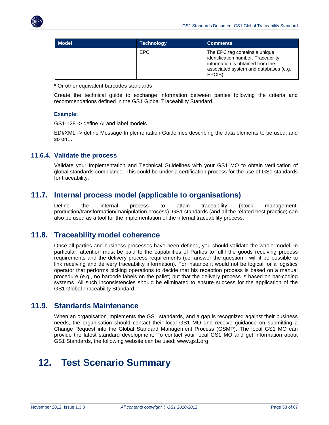

| Model <sup>1</sup> | Technology | <b>Comments</b>                                                                                                                                              |
|--------------------|------------|--------------------------------------------------------------------------------------------------------------------------------------------------------------|
|                    | EPC        | The EPC tag contains a unique<br>identification number. Traceability<br>information is obtained from the<br>associated system and databases (e.g.<br>EPCIS). |

**\*** Or other equivalent barcodes standards

Create the technical guide to exchange information between parties following the criteria and recommendations defined in the GS1 Global Traceability Standard.

#### **Example:**

GS1-128 -> define AI and label models

EDI/XML -> define Message Implementation Guidelines describing the data elements to be used, and so on…

#### <span id="page-57-0"></span>**11.6.4. Validate the process**

Validate your Implementation and Technical Guidelines with your GS1 MO to obtain verification of global standards compliance. This could be under a certification process for the use of GS1 standards for traceability.

### <span id="page-57-1"></span>**11.7. Internal process model (applicable to organisations)**

Define the internal process to attain traceability (stock management, production/transformation/manipulation process). GS1 standards (and all the related best practice) can also be used as a tool for the implementation of the internal traceability process.

### <span id="page-57-2"></span>**11.8. Traceability model coherence**

Once all parties and business processes have been defined, you should validate the whole model. In particular, attention must be paid to the capabilities of Parties to fulfil the goods receiving process requirements and the delivery process requirements (i.e. answer the question - will it be possible to link receiving and delivery traceability information). For instance it would not be logical for a logistics operator that performs picking operations to decide that his reception process is based on a manual procedure (e.g., no barcode labels on the pallet) but that the delivery process is based on bar-coding systems. All such inconsistencies should be eliminated to ensure success for the application of the GS1 Global Traceability Standard.

### <span id="page-57-3"></span>**11.9. Standards Maintenance**

When an organisation implements the GS1 standards, and a gap is recognized against their business needs, the organisation should contact their local GS1 MO and receive guidance on submitting a Change Request into the Global Standard Management Process (GSMP). The local GS1 MO can provide the latest standard development. To contact your local GS1 MO and get information about GS1 Standards, the following website can be used: www.gs1.org

## <span id="page-57-4"></span>**12. Test Scenario Summary**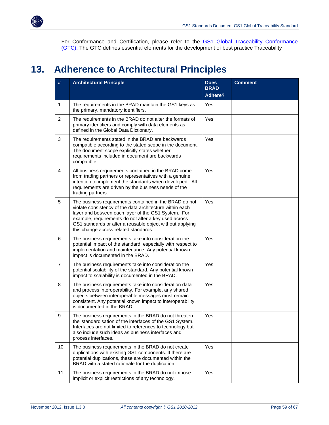

For Conformance and Certification, please refer to the GS1 Global Traceability Conformance (GTC). The GTC defines essential elements for the development of best practice Traceability

## <span id="page-58-0"></span>**13. Adherence to Architectural Principles**

| #                | <b>Architectural Principle</b>                                                                                                                                                                                                                                                                                                          | <b>Does</b><br><b>BRAD</b><br><b>Adhere?</b> | <b>Comment</b> |
|------------------|-----------------------------------------------------------------------------------------------------------------------------------------------------------------------------------------------------------------------------------------------------------------------------------------------------------------------------------------|----------------------------------------------|----------------|
| 1                | The requirements in the BRAD maintain the GS1 keys as<br>the primary, mandatory identifiers.                                                                                                                                                                                                                                            | Yes                                          |                |
| $\overline{2}$   | The requirements in the BRAD do not alter the formats of<br>primary identifiers and comply with data elements as<br>defined in the Global Data Dictionary.                                                                                                                                                                              | Yes                                          |                |
| 3                | The requirements stated in the BRAD are backwards<br>compatible according to the stated scope in the document.<br>The document scope explicitly states whether<br>requirements included in document are backwards<br>compatible.                                                                                                        | Yes                                          |                |
| $\overline{4}$   | All business requirements contained in the BRAD come<br>from trading partners or representatives with a genuine<br>intention to implement the standards when developed. All<br>requirements are driven by the business needs of the<br>trading partners.                                                                                | Yes                                          |                |
| 5                | The business requirements contained in the BRAD do not<br>violate consistency of the data architecture within each<br>layer and between each layer of the GS1 System. For<br>example, requirements do not alter a key used across<br>GS1 standards or alter a reusable object without applying<br>this change across related standards. | Yes                                          |                |
| 6                | The business requirements take into consideration the<br>potential impact of the standard, especially with respect to<br>implementation and maintenance. Any potential known<br>impact is documented in the BRAD.                                                                                                                       | Yes                                          |                |
| $\overline{7}$   | The business requirements take into consideration the<br>potential scalability of the standard. Any potential known<br>impact to scalability is documented in the BRAD.                                                                                                                                                                 | Yes                                          |                |
| 8                | The business requirements take into consideration data<br>and process interoperability. For example, any shared<br>objects between interoperable messages must remain<br>consistent. Any potential known impact to interoperability<br>is documented in the BRAD.                                                                       | Yes                                          |                |
| $\boldsymbol{9}$ | The business requirements in the BRAD do not threaten<br>the standardisation of the interfaces of the GS1 System.<br>Interfaces are not limited to references to technology but<br>also include such ideas as business interfaces and<br>process interfaces.                                                                            | Yes                                          |                |
| 10               | The business requirements in the BRAD do not create<br>duplications with existing GS1 components. If there are<br>potential duplications, these are documented within the<br>BRAD with a stated rationale for the duplication.                                                                                                          | Yes                                          |                |
| 11               | The business requirements in the BRAD do not impose<br>implicit or explicit restrictions of any technology.                                                                                                                                                                                                                             | Yes                                          |                |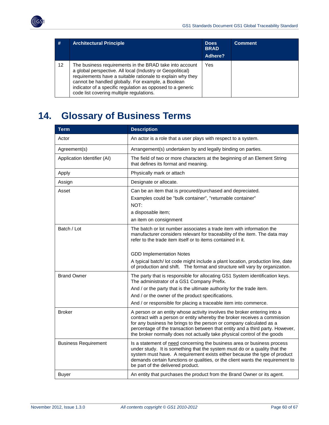

| #  | <b>Architectural Principle</b>                                                                                                                                                                                                                                                                                                                      | <b>Does</b><br><b>BRAD</b><br>Adhere? | <b>Comment</b> |
|----|-----------------------------------------------------------------------------------------------------------------------------------------------------------------------------------------------------------------------------------------------------------------------------------------------------------------------------------------------------|---------------------------------------|----------------|
| 12 | The business requirements in the BRAD take into account<br>a global perspective. All local (Industry or Geopolitical)<br>requirements have a suitable rationale to explain why they<br>cannot be handled globally. For example, a Boolean<br>indicator of a specific regulation as opposed to a generic<br>code list covering multiple regulations. | Yes                                   |                |

# <span id="page-59-0"></span>**14. Glossary of Business Terms**

| <b>Term</b>                 | <b>Description</b>                                                                                                                                                                                                                                                                                                                                                                                                      |
|-----------------------------|-------------------------------------------------------------------------------------------------------------------------------------------------------------------------------------------------------------------------------------------------------------------------------------------------------------------------------------------------------------------------------------------------------------------------|
| Actor                       | An actor is a role that a user plays with respect to a system.                                                                                                                                                                                                                                                                                                                                                          |
| Agreement(s)                | Arrangement(s) undertaken by and legally binding on parties.                                                                                                                                                                                                                                                                                                                                                            |
| Application Identifier (AI) | The field of two or more characters at the beginning of an Element String<br>that defines its format and meaning.                                                                                                                                                                                                                                                                                                       |
| Apply                       | Physically mark or attach                                                                                                                                                                                                                                                                                                                                                                                               |
| Assign                      | Designate or allocate.                                                                                                                                                                                                                                                                                                                                                                                                  |
| Asset                       | Can be an item that is procured/purchased and depreciated.<br>Examples could be "bulk container", "returnable container"<br>NOT:<br>a disposable item;<br>an item on consignment                                                                                                                                                                                                                                        |
| Batch / Lot                 | The batch or lot number associates a trade item with information the<br>manufacturer considers relevant for traceability of the item. The data may<br>refer to the trade item itself or to items contained in it.<br><b>GDD Implementation Notes</b><br>A typical batch/ lot code might include a plant location, production line, date<br>of production and shift. The format and structure will vary by organization. |
| <b>Brand Owner</b>          | The party that is responsible for allocating GS1 System identification keys.<br>The administrator of a GS1 Company Prefix.<br>And / or the party that is the ultimate authority for the trade item.<br>And / or the owner of the product specifications.<br>And / or responsible for placing a traceable item into commerce.                                                                                            |
| <b>Broker</b>               | A person or an entity whose activity involves the broker entering into a<br>contract with a person or entity whereby the broker receives a commission<br>for any business he brings to the person or company calculated as a<br>percentage of the transaction between that entity and a third party. However,<br>the broker normally does not actually take physical control of the goods                               |
| <b>Business Requirement</b> | Is a statement of need concerning the business area or business process<br>under study. It is something that the system must do or a quality that the<br>system must have. A requirement exists either because the type of product<br>demands certain functions or qualities, or the client wants the requirement to<br>be part of the delivered product.                                                               |
| Buyer                       | An entity that purchases the product from the Brand Owner or its agent.                                                                                                                                                                                                                                                                                                                                                 |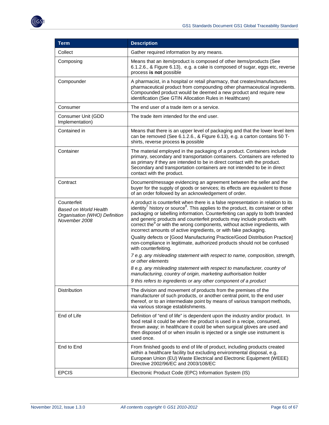

| <b>Term</b>                                                                                   | <b>Description</b>                                                                                                                                                                                                                                                                                                                                                                                                                                                                                                       |
|-----------------------------------------------------------------------------------------------|--------------------------------------------------------------------------------------------------------------------------------------------------------------------------------------------------------------------------------------------------------------------------------------------------------------------------------------------------------------------------------------------------------------------------------------------------------------------------------------------------------------------------|
| Collect                                                                                       | Gather required information by any means.                                                                                                                                                                                                                                                                                                                                                                                                                                                                                |
| Composing                                                                                     | Means that an item/product is composed of other items/products (See<br>6.1.2.6., & Figure 6.13), e.g. a cake is composed of sugar, eggs etc, reverse<br>process is not possible                                                                                                                                                                                                                                                                                                                                          |
| Compounder                                                                                    | A pharmacist, in a hospital or retail pharmacy, that creates/manufactures<br>pharmaceutical product from compounding other pharmaceutical ingredients.<br>Compounded product would be deemed a new product and require new<br>identification (See GTIN Allocation Rules in Healthcare)                                                                                                                                                                                                                                   |
| Consumer                                                                                      | The end user of a trade item or a service.                                                                                                                                                                                                                                                                                                                                                                                                                                                                               |
| Consumer Unit (GDD<br>Implementation)                                                         | The trade item intended for the end user.                                                                                                                                                                                                                                                                                                                                                                                                                                                                                |
| Contained in                                                                                  | Means that there is an upper level of packaging and that the lower level item<br>can be removed (See 6.1.2.6., & Figure 6.13), e.g. a carton contains 50 T-<br>shirts, reverse process is possible                                                                                                                                                                                                                                                                                                                       |
| Container                                                                                     | The material employed in the packaging of a product. Containers include<br>primary, secondary and transportation containers. Containers are referred to<br>as primary if they are intended to be in direct contact with the product.<br>Secondary and transportation containers are not intended to be in direct<br>contact with the product.                                                                                                                                                                            |
| Contract                                                                                      | Document/message evidencing an agreement between the seller and the<br>buyer for the supply of goods or services; its effects are equivalent to those<br>of an order followed by an acknowledgement of order.                                                                                                                                                                                                                                                                                                            |
| Counterfeit<br><b>Based on World Health</b><br>Organisation (WHO) Definition<br>November 2008 | A product is counterfeit when there is a false representation in relation to its<br>identity <sup>7</sup> history or source <sup>8</sup> . This applies to the product, its container or other<br>packaging or labelling information. Counterfeiting can apply to both branded<br>and generic products and counterfeit products may include products with<br>correct the <sup>9</sup> or with the wrong components, without active ingredients, with<br>incorrect amounts of active ingredients, or with fake packaging. |
|                                                                                               | Quality defects or [Good Manufacturing Practice/Good Distribution Practice]<br>non-compliance in legitimate, authorized products should not be confused<br>with counterfeiting.                                                                                                                                                                                                                                                                                                                                          |
|                                                                                               | 7 e.g. any misleading statement with respect to name, composition, strength,<br>or other elements                                                                                                                                                                                                                                                                                                                                                                                                                        |
|                                                                                               | 8 e.g. any misleading statement with respect to manufacturer, country of<br>manufacturing, country of origin, marketing authorisation holder                                                                                                                                                                                                                                                                                                                                                                             |
|                                                                                               | 9 this refers to ingredients or any other component of a product                                                                                                                                                                                                                                                                                                                                                                                                                                                         |
| Distribution                                                                                  | The division and movement of products from the premises of the<br>manufacturer of such products, or another central point, to the end user<br>thereof, or to an intermediate point by means of various transport methods,<br>via various storage establishments.                                                                                                                                                                                                                                                         |
| End of Life                                                                                   | Definition of "end of life" is dependent upon the industry and/or product. In<br>food retail it could be when the product is used in a recipe, consumed,<br>thrown away; in healthcare it could be when surgical gloves are used and<br>then disposed of or when insulin is injected or a single use instrument is<br>used once.                                                                                                                                                                                         |
| End to End                                                                                    | From finished goods to end of life of product, including products created<br>within a healthcare facility but excluding environmental disposal, e.g.<br>European Union (EU) Waste Electrical and Electronic Equipment (WEEE)<br>Directive 2002/96/EC and 2003/108/EC                                                                                                                                                                                                                                                     |
| <b>EPCIS</b>                                                                                  | Electronic Product Code (EPC) Information System (IS)                                                                                                                                                                                                                                                                                                                                                                                                                                                                    |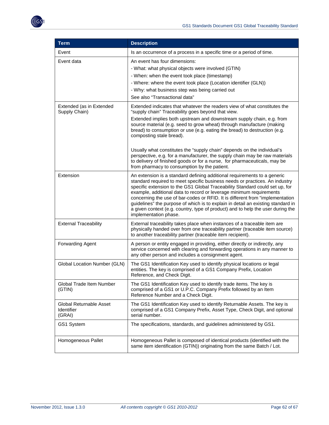

| <b>Term</b>                                            | <b>Description</b>                                                                                                                                                                                                                                                                                                                                                                                                                                                                                                                                                                                                                                                                |
|--------------------------------------------------------|-----------------------------------------------------------------------------------------------------------------------------------------------------------------------------------------------------------------------------------------------------------------------------------------------------------------------------------------------------------------------------------------------------------------------------------------------------------------------------------------------------------------------------------------------------------------------------------------------------------------------------------------------------------------------------------|
| Event                                                  | Is an occurrence of a process in a specific time or a period of time.                                                                                                                                                                                                                                                                                                                                                                                                                                                                                                                                                                                                             |
| Event data                                             | An event has four dimensions:<br>- What: what physical objects were involved (GTIN)<br>- When: when the event took place (timestamp)<br>- Where: where the event took place (Location identifier (GLN))<br>- Why: what business step was being carried out<br>See also "Transactional data"                                                                                                                                                                                                                                                                                                                                                                                       |
| Extended (as in Extended<br>Supply Chain)              | Extended indicates that whatever the readers view of what constitutes the<br>"supply chain" Traceability goes beyond that view.<br>Extended implies both upstream and downstream supply chain, e.g. from<br>source material (e.g. seed to grow wheat) through manufacture (making<br>bread) to consumption or use (e.g. eating the bread) to destruction (e.g.<br>composting stale bread).<br>Usually what constitutes the "supply chain" depends on the individual's<br>perspective, e.g. for a manufacturer, the supply chain may be raw materials<br>to delivery of finished goods or for a nurse, for pharmaceuticals, may be<br>from pharmacy to consumption by the patient. |
| Extension                                              | An extension is a standard defining additional requirements to a generic<br>standard required to meet specific business needs or practices. An industry<br>specific extension to the GS1 Global Traceability Standard could set up, for<br>example, additional data to record or leverage minimum requirements<br>concerning the use of bar-codes or RFID. It is different from "implementation<br>guidelines" the purpose of which is to explain in detail an existing standard in<br>a given context (e.g. country, type of product) and to help the user during the<br>implementation phase.                                                                                   |
| <b>External Traceability</b>                           | External traceability takes place when instances of a traceable item are<br>physically handed over from one traceability partner (traceable item source)<br>to another traceability partner (traceable item recipient).                                                                                                                                                                                                                                                                                                                                                                                                                                                           |
| <b>Forwarding Agent</b>                                | A person or entity engaged in providing, either directly or indirectly, any<br>service concerned with clearing and forwarding operations in any manner to<br>any other person and includes a consignment agent.                                                                                                                                                                                                                                                                                                                                                                                                                                                                   |
| Global Location Number (GLN)                           | The GS1 Identification Key used to identify physical locations or legal<br>entities. The key is comprised of a GS1 Company Prefix, Location<br>Reference, and Check Digit.                                                                                                                                                                                                                                                                                                                                                                                                                                                                                                        |
| Global Trade Item Number<br>(GTIN)                     | The GS1 Identification Key used to identify trade items. The key is<br>comprised of a GS1 or U.P.C. Company Prefix followed by an Item<br>Reference Number and a Check Digit.                                                                                                                                                                                                                                                                                                                                                                                                                                                                                                     |
| Global Returnable Asset<br><b>Identifier</b><br>(GRAI) | The GS1 Identification Key used to identify Returnable Assets. The key is<br>comprised of a GS1 Company Prefix, Asset Type, Check Digit, and optional<br>serial number.                                                                                                                                                                                                                                                                                                                                                                                                                                                                                                           |
| GS1 System                                             | The specifications, standards, and guidelines administered by GS1.                                                                                                                                                                                                                                                                                                                                                                                                                                                                                                                                                                                                                |
| Homogeneous Pallet                                     | Homogeneous Pallet is composed of identical products (identified with the<br>same item identification (GTIN)) originating from the same Batch / Lot.                                                                                                                                                                                                                                                                                                                                                                                                                                                                                                                              |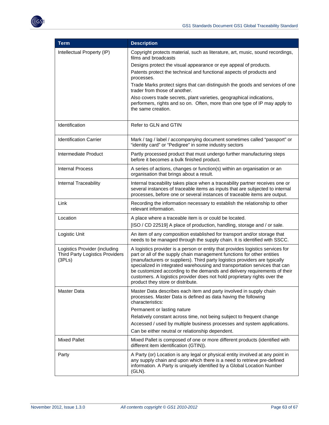

| <b>Term</b>                                                                       | <b>Description</b>                                                                                                                                                                                                                                                                                                                                                                                                                                                                                                     |
|-----------------------------------------------------------------------------------|------------------------------------------------------------------------------------------------------------------------------------------------------------------------------------------------------------------------------------------------------------------------------------------------------------------------------------------------------------------------------------------------------------------------------------------------------------------------------------------------------------------------|
| Intellectual Property (IP)                                                        | Copyright protects material, such as literature, art, music, sound recordings,<br>films and broadcasts<br>Designs protect the visual appearance or eye appeal of products.<br>Patents protect the technical and functional aspects of products and                                                                                                                                                                                                                                                                     |
|                                                                                   | processes.                                                                                                                                                                                                                                                                                                                                                                                                                                                                                                             |
|                                                                                   | Trade Marks protect signs that can distinguish the goods and services of one<br>trader from those of another.                                                                                                                                                                                                                                                                                                                                                                                                          |
|                                                                                   | Also covers trade secrets, plant varieties, geographical indications,<br>performers, rights and so on. Often, more than one type of IP may apply to<br>the same creation.                                                                                                                                                                                                                                                                                                                                              |
| Identification                                                                    | Refer to GLN and GTIN                                                                                                                                                                                                                                                                                                                                                                                                                                                                                                  |
| <b>Identification Carrier</b>                                                     | Mark / tag / label / accompanying document sometimes called "passport" or<br>"identity card" or "Pedigree" in some industry sectors                                                                                                                                                                                                                                                                                                                                                                                    |
| Intermediate Product                                                              | Partly processed product that must undergo further manufacturing steps<br>before it becomes a bulk finished product.                                                                                                                                                                                                                                                                                                                                                                                                   |
| <b>Internal Process</b>                                                           | A series of actions, changes or function(s) within an organisation or an<br>organisation that brings about a result.                                                                                                                                                                                                                                                                                                                                                                                                   |
| Internal Traceability                                                             | Internal traceability takes place when a traceability partner receives one or<br>several instances of traceable items as inputs that are subjected to internal<br>processes, before one or several instances of traceable items are output.                                                                                                                                                                                                                                                                            |
| Link                                                                              | Recording the information necessary to establish the relationship to other<br>relevant information.                                                                                                                                                                                                                                                                                                                                                                                                                    |
| Location                                                                          | A place where a traceable item is or could be located.<br>[ISO / CD 22519] A place of production, handling, storage and / or sale.                                                                                                                                                                                                                                                                                                                                                                                     |
| Logistic Unit                                                                     | An item of any composition established for transport and/or storage that<br>needs to be managed through the supply chain. It is identified with SSCC.                                                                                                                                                                                                                                                                                                                                                                  |
| Logistics Provider (including<br><b>Third Party Logistics Providers</b><br>(3PLs) | A logistics provider is a person or entity that provides logistics services for<br>part or all of the supply chain management functions for other entities<br>(manufacturers or suppliers). Third party logistics providers are typically<br>specialized in integrated warehousing and transportation services that can<br>be customized according to the demands and delivery requirements of their<br>customers. A logistics provider does not hold proprietary rights over the<br>product they store or distribute. |
| Master Data                                                                       | Master Data describes each item and party involved in supply chain<br>processes. Master Data is defined as data having the following<br>characteristics:                                                                                                                                                                                                                                                                                                                                                               |
|                                                                                   | Permanent or lasting nature<br>Relatively constant across time, not being subject to frequent change<br>Accessed / used by multiple business processes and system applications.<br>Can be either neutral or relationship dependent.                                                                                                                                                                                                                                                                                    |
| <b>Mixed Pallet</b>                                                               | Mixed Pallet is composed of one or more different products (identified with<br>different item identification (GTIN)).                                                                                                                                                                                                                                                                                                                                                                                                  |
| Party                                                                             | A Party (or) Location is any legal or physical entity involved at any point in<br>any supply chain and upon which there is a need to retrieve pre-defined<br>information. A Party is uniquely identified by a Global Location Number<br>$(GLN)$ .                                                                                                                                                                                                                                                                      |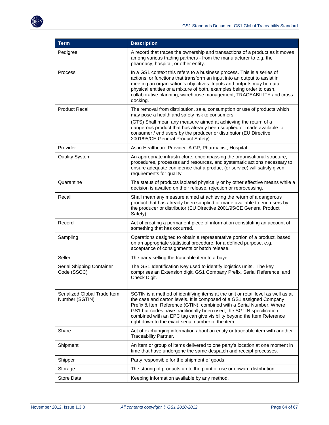

| <b>Term</b>                                    | <b>Description</b>                                                                                                                                                                                                                                                                                                                                                                                                                      |
|------------------------------------------------|-----------------------------------------------------------------------------------------------------------------------------------------------------------------------------------------------------------------------------------------------------------------------------------------------------------------------------------------------------------------------------------------------------------------------------------------|
| Pedigree                                       | A record that traces the ownership and transactions of a product as it moves<br>among various trading partners - from the manufacturer to e.g. the<br>pharmacy, hospital, or other entity.                                                                                                                                                                                                                                              |
| Process                                        | In a GS1 context this refers to a business process. This is a series of<br>actions, or functions that transform an input into an output to assist in<br>meeting an organisation's objectives. Inputs and outputs may be data,<br>physical entities or a mixture of both, examples being order to cash,<br>collaborative planning, warehouse management, TRACEABILITY and cross-<br>docking.                                             |
| <b>Product Recall</b>                          | The removal from distribution, sale, consumption or use of products which<br>may pose a health and safety risk to consumers<br>(GTS) Shall mean any measure aimed at achieving the return of a<br>dangerous product that has already been supplied or made available to<br>consumer / end users by the producer or distributor (EU Directive<br>2001/95/CE General Product Safety)                                                      |
| Provider                                       | As in Healthcare Provider: A GP, Pharmacist, Hospital                                                                                                                                                                                                                                                                                                                                                                                   |
| <b>Quality System</b>                          | An appropriate infrastructure, encompassing the organisational structure,<br>procedures, processes and resources, and systematic actions necessary to<br>ensure adequate confidence that a product (or service) will satisfy given<br>requirements for quality.                                                                                                                                                                         |
| Quarantine                                     | The status of products isolated physically or by other effective means while a<br>decision is awaited on their release, rejection or reprocessing.                                                                                                                                                                                                                                                                                      |
| Recall                                         | Shall mean any measure aimed at achieving the return of a dangerous<br>product that has already been supplied or made available to end users by<br>the producer or distributor (EU Directive 2001/95/CE General Product<br>Safety)                                                                                                                                                                                                      |
| Record                                         | Act of creating a permanent piece of information constituting an account of<br>something that has occurred.                                                                                                                                                                                                                                                                                                                             |
| Sampling                                       | Operations designed to obtain a representative portion of a product, based<br>on an appropriate statistical procedure, for a defined purpose, e.g.<br>acceptance of consignments or batch release.                                                                                                                                                                                                                                      |
| Seller                                         | The party selling the traceable item to a buyer.                                                                                                                                                                                                                                                                                                                                                                                        |
| Serial Shipping Container<br>Code (SSCC)       | The GS1 Identification Key used to identify logistics units. The key<br>comprises an Extension digit, GS1 Company Prefix, Serial Reference, and<br>Check Digit.                                                                                                                                                                                                                                                                         |
| Serialized Global Trade Item<br>Number (SGTIN) | SGTIN is a method of identifying items at the unit or retail level as well as at<br>the case and carton levels. It is composed of a GS1 assigned Company<br>Prefix & Item Reference (GTIN), combined with a Serial Number. Where<br>GS1 bar codes have traditionally been used, the SGTIN specification<br>combined with an EPC tag can give visibility beyond the Item Reference<br>right down to the exact serial number of the item. |
| Share                                          | Act of exchanging information about an entity or traceable item with another<br>Traceability Partner.                                                                                                                                                                                                                                                                                                                                   |
| Shipment                                       | An item or group of items delivered to one party's location at one moment in<br>time that have undergone the same despatch and receipt processes.                                                                                                                                                                                                                                                                                       |
| Shipper                                        | Party responsible for the shipment of goods.                                                                                                                                                                                                                                                                                                                                                                                            |
| Storage                                        | The storing of products up to the point of use or onward distribution                                                                                                                                                                                                                                                                                                                                                                   |
| Store Data                                     | Keeping information available by any method.                                                                                                                                                                                                                                                                                                                                                                                            |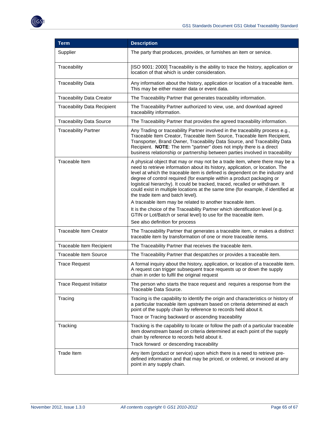| <b>Term</b>                        | <b>Description</b>                                                                                                                                                                                                                                                                                                                                                                                                                                                                                                                                                                                                                                                                                                                                                                      |  |
|------------------------------------|-----------------------------------------------------------------------------------------------------------------------------------------------------------------------------------------------------------------------------------------------------------------------------------------------------------------------------------------------------------------------------------------------------------------------------------------------------------------------------------------------------------------------------------------------------------------------------------------------------------------------------------------------------------------------------------------------------------------------------------------------------------------------------------------|--|
| Supplier                           | The party that produces, provides, or furnishes an item or service.                                                                                                                                                                                                                                                                                                                                                                                                                                                                                                                                                                                                                                                                                                                     |  |
| Traceability                       | [ISO 9001: 2000] Traceability is the ability to trace the history, application or<br>location of that which is under consideration.                                                                                                                                                                                                                                                                                                                                                                                                                                                                                                                                                                                                                                                     |  |
| <b>Traceability Data</b>           | Any information about the history, application or location of a traceable item.<br>This may be either master data or event data.                                                                                                                                                                                                                                                                                                                                                                                                                                                                                                                                                                                                                                                        |  |
| <b>Traceability Data Creator</b>   | The Traceability Partner that generates traceability information.                                                                                                                                                                                                                                                                                                                                                                                                                                                                                                                                                                                                                                                                                                                       |  |
| <b>Traceability Data Recipient</b> | The Traceability Partner authorized to view, use, and download agreed<br>traceability information.                                                                                                                                                                                                                                                                                                                                                                                                                                                                                                                                                                                                                                                                                      |  |
| <b>Traceability Data Source</b>    | The Traceability Partner that provides the agreed traceability information.                                                                                                                                                                                                                                                                                                                                                                                                                                                                                                                                                                                                                                                                                                             |  |
| <b>Traceability Partner</b>        | Any Trading or traceability Partner involved in the traceability process e.g.,<br>Traceable Item Creator, Traceable Item Source, Traceable Item Recipient,<br>Transporter, Brand Owner, Traceability Data Source, and Traceability Data<br>Recipient. NOTE: The term "partner" does not imply there is a direct<br>business relationship or partnership between parties involved in traceability                                                                                                                                                                                                                                                                                                                                                                                        |  |
| Traceable Item                     | A physical object that may or may not be a trade item, where there may be a<br>need to retrieve information about its history, application, or location. The<br>level at which the traceable item is defined is dependent on the industry and<br>degree of control required (for example within a product packaging or<br>logistical hierarchy). It could be tracked, traced, recalled or withdrawn. It<br>could exist in multiple locations at the same time (for example, if identified at<br>the trade item and batch level).<br>A traceable item may be related to another traceable item.<br>It is the choice of the Traceability Partner which identification level (e.g.<br>GTIN or Lot/Batch or serial level) to use for the traceable item.<br>See also definition for process |  |
| <b>Traceable Item Creator</b>      | The Traceability Partner that generates a traceable item, or makes a distinct<br>traceable item by transformation of one or more traceable items.                                                                                                                                                                                                                                                                                                                                                                                                                                                                                                                                                                                                                                       |  |
| Traceable Item Recipient           | The Traceability Partner that receives the traceable item.                                                                                                                                                                                                                                                                                                                                                                                                                                                                                                                                                                                                                                                                                                                              |  |
| <b>Traceable Item Source</b>       | The Traceability Partner that despatches or provides a traceable item.                                                                                                                                                                                                                                                                                                                                                                                                                                                                                                                                                                                                                                                                                                                  |  |
| <b>Trace Request</b>               | A formal inquiry about the history, application, or location of a traceable item.<br>A request can trigger subsequent trace requests up or down the supply<br>chain in order to fulfil the original request                                                                                                                                                                                                                                                                                                                                                                                                                                                                                                                                                                             |  |
| <b>Trace Request Initiator</b>     | The person who starts the trace request and requires a response from the<br>Traceable Data Source.                                                                                                                                                                                                                                                                                                                                                                                                                                                                                                                                                                                                                                                                                      |  |
| Tracing                            | Tracing is the capability to identify the origin and characteristics or history of<br>a particular traceable item upstream based on criteria determined at each<br>point of the supply chain by reference to records held about it.<br>Trace or Tracing backward or ascending traceability                                                                                                                                                                                                                                                                                                                                                                                                                                                                                              |  |
| Tracking                           | Tracking is the capability to locate or follow the path of a particular traceable<br>item downstream based on criteria determined at each point of the supply<br>chain by reference to records held about it.<br>Track forward or descending traceability                                                                                                                                                                                                                                                                                                                                                                                                                                                                                                                               |  |
| Trade Item                         | Any item (product or service) upon which there is a need to retrieve pre-<br>defined information and that may be priced, or ordered, or invoiced at any<br>point in any supply chain.                                                                                                                                                                                                                                                                                                                                                                                                                                                                                                                                                                                                   |  |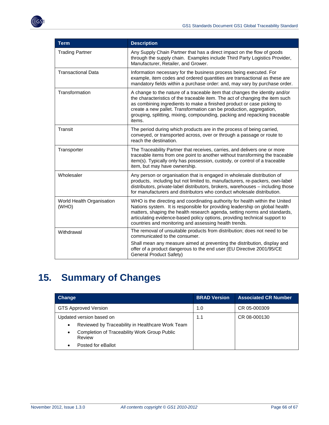

| <b>Term</b>                        | <b>Description</b>                                                                                                                                                                                                                                                                                                                                                                                  |  |  |
|------------------------------------|-----------------------------------------------------------------------------------------------------------------------------------------------------------------------------------------------------------------------------------------------------------------------------------------------------------------------------------------------------------------------------------------------------|--|--|
| <b>Trading Partner</b>             | Any Supply Chain Partner that has a direct impact on the flow of goods<br>through the supply chain. Examples include Third Party Logistics Provider,<br>Manufacturer, Retailer, and Grower.                                                                                                                                                                                                         |  |  |
| <b>Transactional Data</b>          | Information necessary for the business process being executed. For<br>example, item codes and ordered quantities are transactional as these are<br>mandatory fields within a purchase order: and, may vary by purchase order.                                                                                                                                                                       |  |  |
| Transformation                     | A change to the nature of a traceable item that changes the identity and/or<br>the characteristics of the traceable item. The act of changing the item such<br>as combining ingredients to make a finished product or case picking to<br>create a new pallet. Transformation can be production, aggregation,<br>grouping, splitting, mixing, compounding, packing and repacking traceable<br>items. |  |  |
| Transit                            | The period during which products are in the process of being carried,<br>conveyed, or transported across, over or through a passage or route to<br>reach the destination.                                                                                                                                                                                                                           |  |  |
| Transporter                        | The Traceability Partner that receives, carries, and delivers one or more<br>traceable items from one point to another without transforming the traceable<br>item(s). Typically only has possession, custody, or control of a traceable<br>item, but may have ownership.                                                                                                                            |  |  |
| Wholesaler                         | Any person or organisation that is engaged in wholesale distribution of<br>products, including but not limited to, manufacturers, re-packers, own-label<br>distributors, private-label distributors, brokers, warehouses - including those<br>for manufacturers and distributors who conduct wholesale distribution.                                                                                |  |  |
| World Health Organisation<br>(WHO) | WHO is the directing and coordinating authority for health within the United<br>Nations system. It is responsible for providing leadership on global health<br>matters, shaping the health research agenda, setting norms and standards,<br>articulating evidence-based policy options, providing technical support to<br>countries and monitoring and assessing health trends.                     |  |  |
| Withdrawal                         | The removal of unsuitable products from distribution; does not need to be<br>communicated to the consumer.                                                                                                                                                                                                                                                                                          |  |  |
|                                    | Shall mean any measure aimed at preventing the distribution, display and<br>offer of a product dangerous to the end user (EU Directive 2001/95/CE<br>General Product Safety)                                                                                                                                                                                                                        |  |  |

# <span id="page-65-0"></span>**15. Summary of Changes**

| <b>Change</b>                                                       | <b>BRAD Version</b> | <b>Associated CR Number</b> |
|---------------------------------------------------------------------|---------------------|-----------------------------|
| <b>GTS Approved Version</b>                                         | 1.0                 | CR 05-000309                |
| Updated version based on                                            | 1.1                 | CR 08-000130                |
| Reviewed by Traceability in Healthcare Work Team<br>٠               |                     |                             |
| Completion of Traceability Work Group Public<br>$\bullet$<br>Review |                     |                             |
| Posted for eBallot<br>٠                                             |                     |                             |